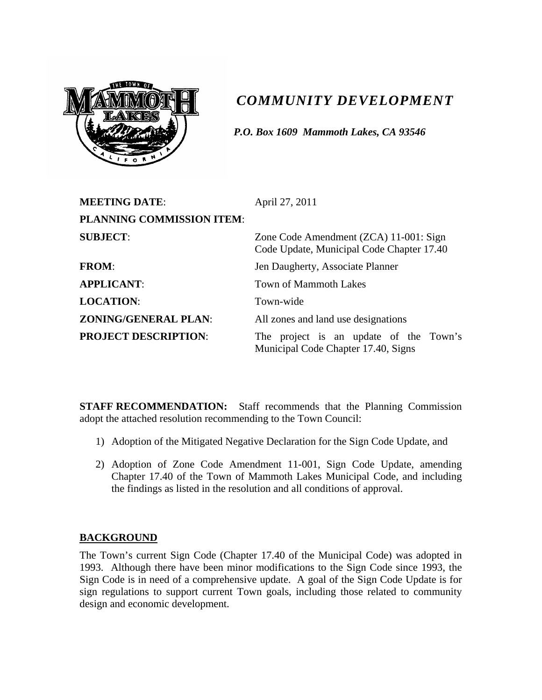

# *COMMUNITY DEVELOPMENT*

*P.O. Box 1609 Mammoth Lakes, CA 93546*

| <b>MEETING DATE:</b>             | April 27, 2011                                                                      |  |  |  |
|----------------------------------|-------------------------------------------------------------------------------------|--|--|--|
| <b>PLANNING COMMISSION ITEM:</b> |                                                                                     |  |  |  |
| <b>SUBJECT:</b>                  | Zone Code Amendment (ZCA) 11-001: Sign<br>Code Update, Municipal Code Chapter 17.40 |  |  |  |
| <b>FROM:</b>                     | Jen Daugherty, Associate Planner                                                    |  |  |  |
| <b>APPLICANT:</b>                | <b>Town of Mammoth Lakes</b>                                                        |  |  |  |
| <b>LOCATION:</b>                 | Town-wide                                                                           |  |  |  |
| <b>ZONING/GENERAL PLAN:</b>      | All zones and land use designations                                                 |  |  |  |
| <b>PROJECT DESCRIPTION:</b>      | The project is an update of the Town's<br>Municipal Code Chapter 17.40, Signs       |  |  |  |

**STAFF RECOMMENDATION:** Staff recommends that the Planning Commission adopt the attached resolution recommending to the Town Council:

- 1) Adoption of the Mitigated Negative Declaration for the Sign Code Update, and
- 2) Adoption of Zone Code Amendment 11-001, Sign Code Update, amending Chapter 17.40 of the Town of Mammoth Lakes Municipal Code, and including the findings as listed in the resolution and all conditions of approval.

### **BACKGROUND**

The Town's current Sign Code (Chapter 17.40 of the Municipal Code) was adopted in 1993. Although there have been minor modifications to the Sign Code since 1993, the Sign Code is in need of a comprehensive update. A goal of the Sign Code Update is for sign regulations to support current Town goals, including those related to community design and economic development.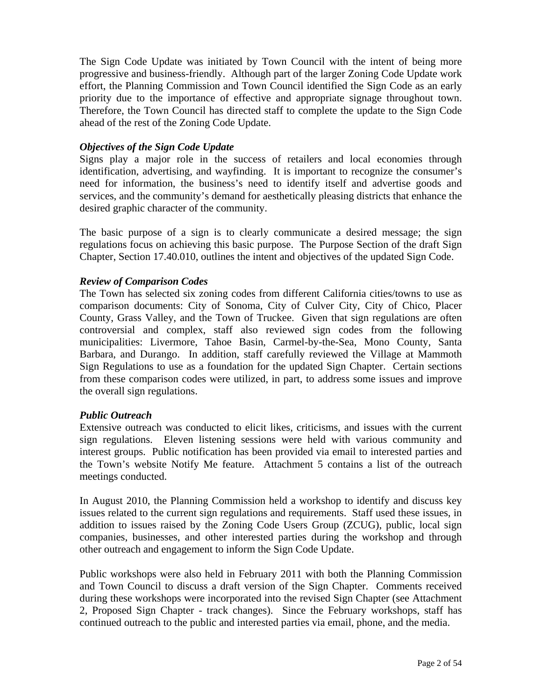The Sign Code Update was initiated by Town Council with the intent of being more progressive and business-friendly. Although part of the larger Zoning Code Update work effort, the Planning Commission and Town Council identified the Sign Code as an early priority due to the importance of effective and appropriate signage throughout town. Therefore, the Town Council has directed staff to complete the update to the Sign Code ahead of the rest of the Zoning Code Update.

#### *Objectives of the Sign Code Update*

Signs play a major role in the success of retailers and local economies through identification, advertising, and wayfinding. It is important to recognize the consumer's need for information, the business's need to identify itself and advertise goods and services, and the community's demand for aesthetically pleasing districts that enhance the desired graphic character of the community.

The basic purpose of a sign is to clearly communicate a desired message; the sign regulations focus on achieving this basic purpose. The Purpose Section of the draft Sign Chapter, Section 17.40.010, outlines the intent and objectives of the updated Sign Code.

#### *Review of Comparison Codes*

The Town has selected six zoning codes from different California cities/towns to use as comparison documents: City of Sonoma, City of Culver City, City of Chico, Placer County, Grass Valley, and the Town of Truckee. Given that sign regulations are often controversial and complex, staff also reviewed sign codes from the following municipalities: Livermore, Tahoe Basin, Carmel-by-the-Sea, Mono County, Santa Barbara, and Durango. In addition, staff carefully reviewed the Village at Mammoth Sign Regulations to use as a foundation for the updated Sign Chapter. Certain sections from these comparison codes were utilized, in part, to address some issues and improve the overall sign regulations.

#### *Public Outreach*

Extensive outreach was conducted to elicit likes, criticisms, and issues with the current sign regulations. Eleven listening sessions were held with various community and interest groups. Public notification has been provided via email to interested parties and the Town's website Notify Me feature. Attachment 5 contains a list of the outreach meetings conducted.

In August 2010, the Planning Commission held a workshop to identify and discuss key issues related to the current sign regulations and requirements. Staff used these issues, in addition to issues raised by the Zoning Code Users Group (ZCUG), public, local sign companies, businesses, and other interested parties during the workshop and through other outreach and engagement to inform the Sign Code Update.

Public workshops were also held in February 2011 with both the Planning Commission and Town Council to discuss a draft version of the Sign Chapter. Comments received during these workshops were incorporated into the revised Sign Chapter (see Attachment 2, Proposed Sign Chapter - track changes). Since the February workshops, staff has continued outreach to the public and interested parties via email, phone, and the media.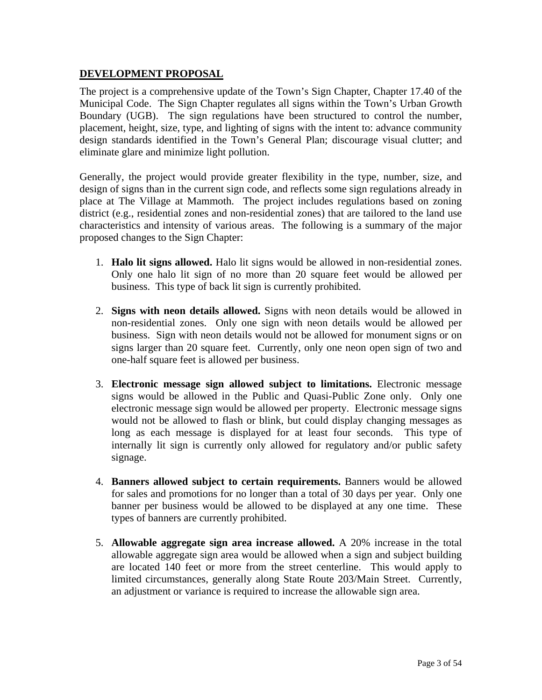#### **DEVELOPMENT PROPOSAL**

The project is a comprehensive update of the Town's Sign Chapter, Chapter 17.40 of the Municipal Code. The Sign Chapter regulates all signs within the Town's Urban Growth Boundary (UGB). The sign regulations have been structured to control the number, placement, height, size, type, and lighting of signs with the intent to: advance community design standards identified in the Town's General Plan; discourage visual clutter; and eliminate glare and minimize light pollution.

Generally, the project would provide greater flexibility in the type, number, size, and design of signs than in the current sign code, and reflects some sign regulations already in place at The Village at Mammoth. The project includes regulations based on zoning district (e.g., residential zones and non-residential zones) that are tailored to the land use characteristics and intensity of various areas. The following is a summary of the major proposed changes to the Sign Chapter:

- 1. **Halo lit signs allowed.** Halo lit signs would be allowed in non-residential zones. Only one halo lit sign of no more than 20 square feet would be allowed per business. This type of back lit sign is currently prohibited.
- 2. **Signs with neon details allowed.** Signs with neon details would be allowed in non-residential zones. Only one sign with neon details would be allowed per business. Sign with neon details would not be allowed for monument signs or on signs larger than 20 square feet. Currently, only one neon open sign of two and one-half square feet is allowed per business.
- 3. **Electronic message sign allowed subject to limitations.** Electronic message signs would be allowed in the Public and Quasi-Public Zone only. Only one electronic message sign would be allowed per property. Electronic message signs would not be allowed to flash or blink, but could display changing messages as long as each message is displayed for at least four seconds. This type of internally lit sign is currently only allowed for regulatory and/or public safety signage.
- 4. **Banners allowed subject to certain requirements.** Banners would be allowed for sales and promotions for no longer than a total of 30 days per year. Only one banner per business would be allowed to be displayed at any one time. These types of banners are currently prohibited.
- 5. **Allowable aggregate sign area increase allowed.** A 20% increase in the total allowable aggregate sign area would be allowed when a sign and subject building are located 140 feet or more from the street centerline. This would apply to limited circumstances, generally along State Route 203/Main Street. Currently, an adjustment or variance is required to increase the allowable sign area.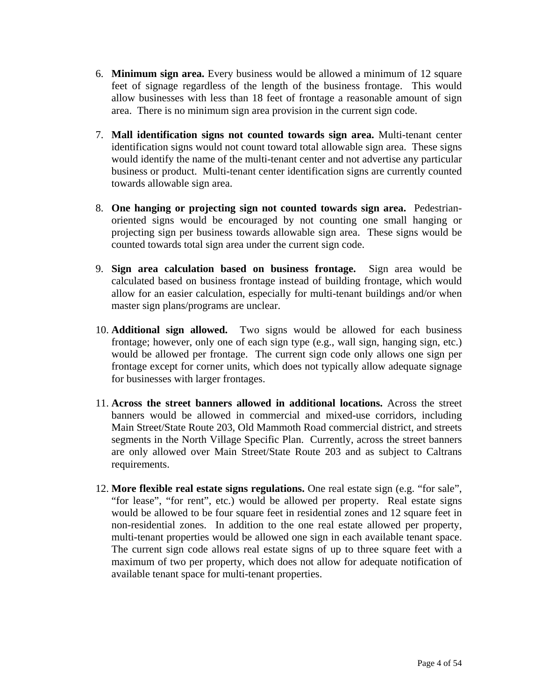- 6. **Minimum sign area.** Every business would be allowed a minimum of 12 square feet of signage regardless of the length of the business frontage. This would allow businesses with less than 18 feet of frontage a reasonable amount of sign area. There is no minimum sign area provision in the current sign code.
- 7. **Mall identification signs not counted towards sign area.** Multi-tenant center identification signs would not count toward total allowable sign area. These signs would identify the name of the multi-tenant center and not advertise any particular business or product. Multi-tenant center identification signs are currently counted towards allowable sign area.
- 8. **One hanging or projecting sign not counted towards sign area.** Pedestrianoriented signs would be encouraged by not counting one small hanging or projecting sign per business towards allowable sign area. These signs would be counted towards total sign area under the current sign code.
- 9. **Sign area calculation based on business frontage.** Sign area would be calculated based on business frontage instead of building frontage, which would allow for an easier calculation, especially for multi-tenant buildings and/or when master sign plans/programs are unclear.
- 10. **Additional sign allowed.** Two signs would be allowed for each business frontage; however, only one of each sign type (e.g., wall sign, hanging sign, etc.) would be allowed per frontage. The current sign code only allows one sign per frontage except for corner units, which does not typically allow adequate signage for businesses with larger frontages.
- 11. **Across the street banners allowed in additional locations.** Across the street banners would be allowed in commercial and mixed-use corridors, including Main Street/State Route 203, Old Mammoth Road commercial district, and streets segments in the North Village Specific Plan. Currently, across the street banners are only allowed over Main Street/State Route 203 and as subject to Caltrans requirements.
- 12. **More flexible real estate signs regulations.** One real estate sign (e.g. "for sale", "for lease", "for rent", etc.) would be allowed per property. Real estate signs would be allowed to be four square feet in residential zones and 12 square feet in non-residential zones. In addition to the one real estate allowed per property, multi-tenant properties would be allowed one sign in each available tenant space. The current sign code allows real estate signs of up to three square feet with a maximum of two per property, which does not allow for adequate notification of available tenant space for multi-tenant properties.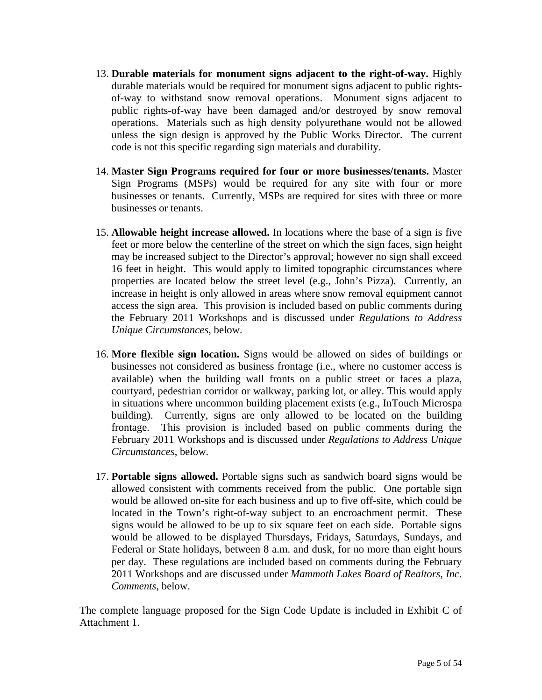- 13. **Durable materials for monument signs adjacent to the right-of-way.** Highly durable materials would be required for monument signs adjacent to public rightsof-way to withstand snow removal operations. Monument signs adjacent to public rights-of-way have been damaged and/or destroyed by snow removal operations. Materials such as high density polyurethane would not be allowed unless the sign design is approved by the Public Works Director. The current code is not this specific regarding sign materials and durability.
- 14. **Master Sign Programs required for four or more businesses/tenants.** Master Sign Programs (MSPs) would be required for any site with four or more businesses or tenants. Currently, MSPs are required for sites with three or more businesses or tenants.
- 15. **Allowable height increase allowed.** In locations where the base of a sign is five feet or more below the centerline of the street on which the sign faces, sign height may be increased subject to the Director's approval; however no sign shall exceed 16 feet in height. This would apply to limited topographic circumstances where properties are located below the street level (e.g., John's Pizza). Currently, an increase in height is only allowed in areas where snow removal equipment cannot access the sign area. This provision is included based on public comments during the February 2011 Workshops and is discussed under *Regulations to Address Unique Circumstances*, below.
- 16. **More flexible sign location.** Signs would be allowed on sides of buildings or businesses not considered as business frontage (i.e., where no customer access is available) when the building wall fronts on a public street or faces a plaza, courtyard, pedestrian corridor or walkway, parking lot, or alley. This would apply in situations where uncommon building placement exists (e.g., InTouch Microspa building). Currently, signs are only allowed to be located on the building frontage. This provision is included based on public comments during the February 2011 Workshops and is discussed under *Regulations to Address Unique Circumstances*, below.
- 17. **Portable signs allowed.** Portable signs such as sandwich board signs would be allowed consistent with comments received from the public. One portable sign would be allowed on-site for each business and up to five off-site, which could be located in the Town's right-of-way subject to an encroachment permit. These signs would be allowed to be up to six square feet on each side. Portable signs would be allowed to be displayed Thursdays, Fridays, Saturdays, Sundays, and Federal or State holidays, between 8 a.m. and dusk, for no more than eight hours per day. These regulations are included based on comments during the February 2011 Workshops and are discussed under *Mammoth Lakes Board of Realtors, Inc. Comments*, below.

The complete language proposed for the Sign Code Update is included in Exhibit C of Attachment 1.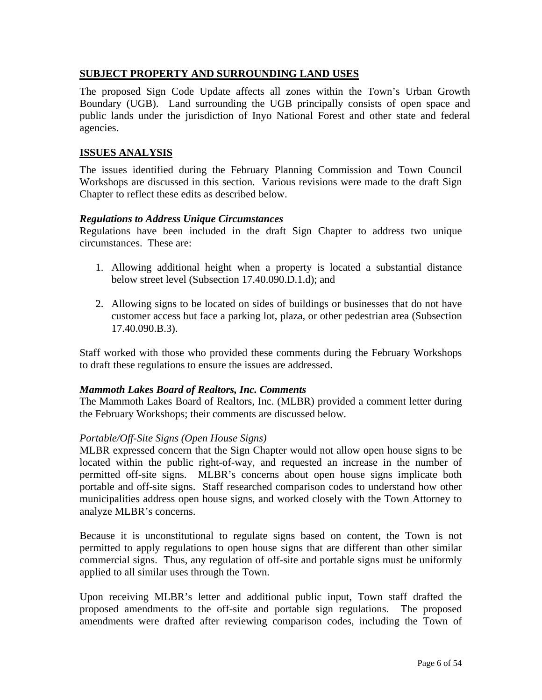#### **SUBJECT PROPERTY AND SURROUNDING LAND USES**

The proposed Sign Code Update affects all zones within the Town's Urban Growth Boundary (UGB). Land surrounding the UGB principally consists of open space and public lands under the jurisdiction of Inyo National Forest and other state and federal agencies.

#### **ISSUES ANALYSIS**

The issues identified during the February Planning Commission and Town Council Workshops are discussed in this section. Various revisions were made to the draft Sign Chapter to reflect these edits as described below.

#### *Regulations to Address Unique Circumstances*

Regulations have been included in the draft Sign Chapter to address two unique circumstances. These are:

- 1. Allowing additional height when a property is located a substantial distance below street level (Subsection 17.40.090.D.1.d); and
- 2. Allowing signs to be located on sides of buildings or businesses that do not have customer access but face a parking lot, plaza, or other pedestrian area (Subsection 17.40.090.B.3).

Staff worked with those who provided these comments during the February Workshops to draft these regulations to ensure the issues are addressed.

#### *Mammoth Lakes Board of Realtors, Inc. Comments*

The Mammoth Lakes Board of Realtors, Inc. (MLBR) provided a comment letter during the February Workshops; their comments are discussed below.

#### *Portable/Off-Site Signs (Open House Signs)*

MLBR expressed concern that the Sign Chapter would not allow open house signs to be located within the public right-of-way, and requested an increase in the number of permitted off-site signs. MLBR's concerns about open house signs implicate both portable and off-site signs. Staff researched comparison codes to understand how other municipalities address open house signs, and worked closely with the Town Attorney to analyze MLBR's concerns.

Because it is unconstitutional to regulate signs based on content, the Town is not permitted to apply regulations to open house signs that are different than other similar commercial signs. Thus, any regulation of off-site and portable signs must be uniformly applied to all similar uses through the Town.

Upon receiving MLBR's letter and additional public input, Town staff drafted the proposed amendments to the off-site and portable sign regulations. The proposed amendments were drafted after reviewing comparison codes, including the Town of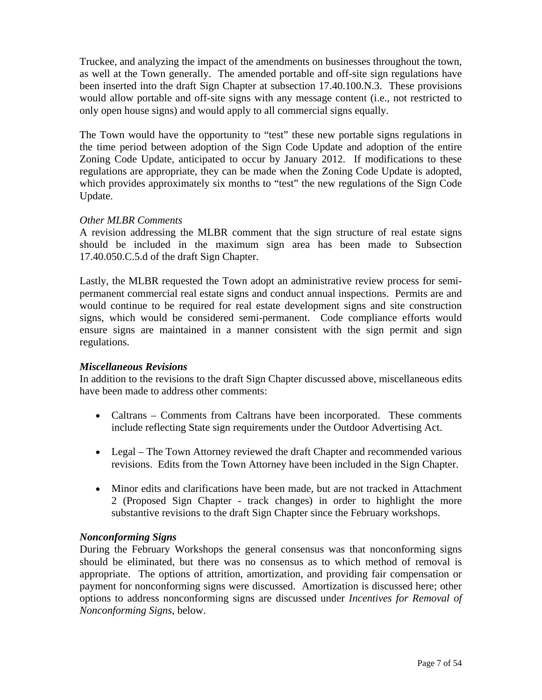Truckee, and analyzing the impact of the amendments on businesses throughout the town, as well at the Town generally. The amended portable and off-site sign regulations have been inserted into the draft Sign Chapter at subsection 17.40.100.N.3. These provisions would allow portable and off-site signs with any message content (i.e., not restricted to only open house signs) and would apply to all commercial signs equally.

The Town would have the opportunity to "test" these new portable signs regulations in the time period between adoption of the Sign Code Update and adoption of the entire Zoning Code Update, anticipated to occur by January 2012. If modifications to these regulations are appropriate, they can be made when the Zoning Code Update is adopted, which provides approximately six months to "test" the new regulations of the Sign Code Update.

#### *Other MLBR Comments*

A revision addressing the MLBR comment that the sign structure of real estate signs should be included in the maximum sign area has been made to Subsection 17.40.050.C.5.d of the draft Sign Chapter.

Lastly, the MLBR requested the Town adopt an administrative review process for semipermanent commercial real estate signs and conduct annual inspections. Permits are and would continue to be required for real estate development signs and site construction signs, which would be considered semi-permanent. Code compliance efforts would ensure signs are maintained in a manner consistent with the sign permit and sign regulations.

#### *Miscellaneous Revisions*

In addition to the revisions to the draft Sign Chapter discussed above, miscellaneous edits have been made to address other comments:

- Caltrans Comments from Caltrans have been incorporated. These comments include reflecting State sign requirements under the Outdoor Advertising Act.
- Legal The Town Attorney reviewed the draft Chapter and recommended various revisions. Edits from the Town Attorney have been included in the Sign Chapter.
- Minor edits and clarifications have been made, but are not tracked in Attachment 2 (Proposed Sign Chapter - track changes) in order to highlight the more substantive revisions to the draft Sign Chapter since the February workshops.

#### *Nonconforming Signs*

During the February Workshops the general consensus was that nonconforming signs should be eliminated, but there was no consensus as to which method of removal is appropriate. The options of attrition, amortization, and providing fair compensation or payment for nonconforming signs were discussed. Amortization is discussed here; other options to address nonconforming signs are discussed under *Incentives for Removal of Nonconforming Signs*, below.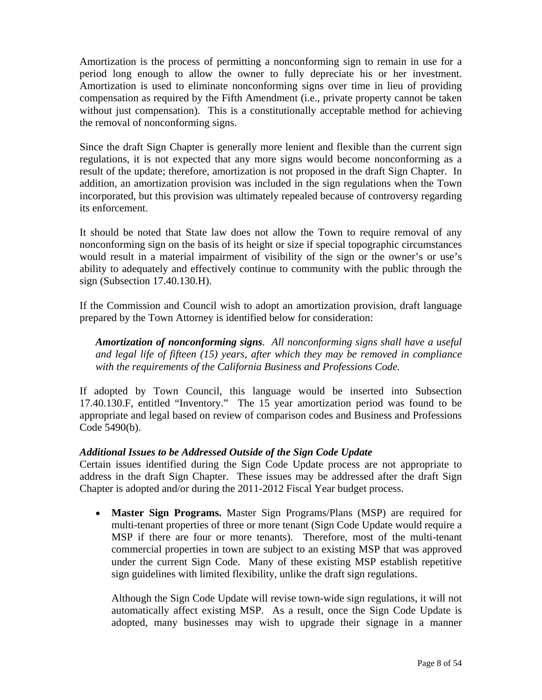Amortization is the process of permitting a nonconforming sign to remain in use for a period long enough to allow the owner to fully depreciate his or her investment. Amortization is used to eliminate nonconforming signs over time in lieu of providing compensation as required by the Fifth Amendment (i.e., private property cannot be taken without just compensation). This is a constitutionally acceptable method for achieving the removal of nonconforming signs.

Since the draft Sign Chapter is generally more lenient and flexible than the current sign regulations, it is not expected that any more signs would become nonconforming as a result of the update; therefore, amortization is not proposed in the draft Sign Chapter. In addition, an amortization provision was included in the sign regulations when the Town incorporated, but this provision was ultimately repealed because of controversy regarding its enforcement.

It should be noted that State law does not allow the Town to require removal of any nonconforming sign on the basis of its height or size if special topographic circumstances would result in a material impairment of visibility of the sign or the owner's or use's ability to adequately and effectively continue to community with the public through the sign (Subsection 17.40.130.H).

If the Commission and Council wish to adopt an amortization provision, draft language prepared by the Town Attorney is identified below for consideration:

*Amortization of nonconforming signs. All nonconforming signs shall have a useful and legal life of fifteen (15) years, after which they may be removed in compliance with the requirements of the California Business and Professions Code.* 

If adopted by Town Council, this language would be inserted into Subsection 17.40.130.F, entitled "Inventory." The 15 year amortization period was found to be appropriate and legal based on review of comparison codes and Business and Professions Code 5490(b).

### *Additional Issues to be Addressed Outside of the Sign Code Update*

Certain issues identified during the Sign Code Update process are not appropriate to address in the draft Sign Chapter. These issues may be addressed after the draft Sign Chapter is adopted and/or during the 2011-2012 Fiscal Year budget process.

• **Master Sign Programs.** Master Sign Programs/Plans (MSP) are required for multi-tenant properties of three or more tenant (Sign Code Update would require a MSP if there are four or more tenants). Therefore, most of the multi-tenant commercial properties in town are subject to an existing MSP that was approved under the current Sign Code. Many of these existing MSP establish repetitive sign guidelines with limited flexibility, unlike the draft sign regulations.

Although the Sign Code Update will revise town-wide sign regulations, it will not automatically affect existing MSP. As a result, once the Sign Code Update is adopted, many businesses may wish to upgrade their signage in a manner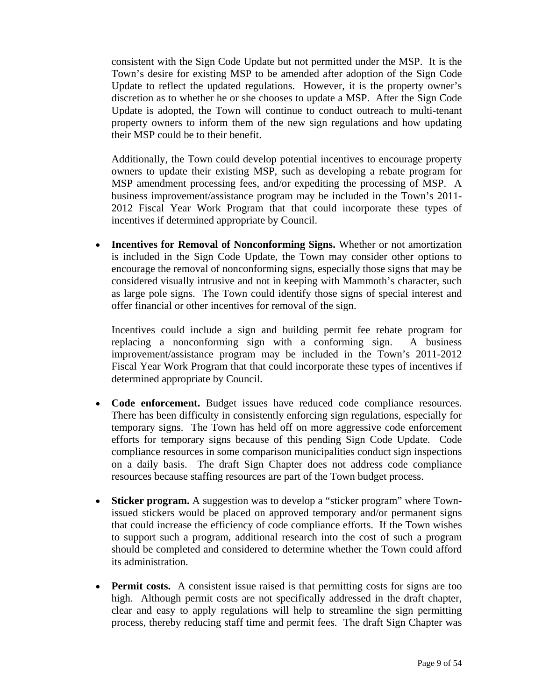consistent with the Sign Code Update but not permitted under the MSP. It is the Town's desire for existing MSP to be amended after adoption of the Sign Code Update to reflect the updated regulations. However, it is the property owner's discretion as to whether he or she chooses to update a MSP. After the Sign Code Update is adopted, the Town will continue to conduct outreach to multi-tenant property owners to inform them of the new sign regulations and how updating their MSP could be to their benefit.

Additionally, the Town could develop potential incentives to encourage property owners to update their existing MSP, such as developing a rebate program for MSP amendment processing fees, and/or expediting the processing of MSP. A business improvement/assistance program may be included in the Town's 2011- 2012 Fiscal Year Work Program that that could incorporate these types of incentives if determined appropriate by Council.

• **Incentives for Removal of Nonconforming Signs.** Whether or not amortization is included in the Sign Code Update, the Town may consider other options to encourage the removal of nonconforming signs, especially those signs that may be considered visually intrusive and not in keeping with Mammoth's character, such as large pole signs. The Town could identify those signs of special interest and offer financial or other incentives for removal of the sign.

Incentives could include a sign and building permit fee rebate program for replacing a nonconforming sign with a conforming sign. A business improvement/assistance program may be included in the Town's 2011-2012 Fiscal Year Work Program that that could incorporate these types of incentives if determined appropriate by Council.

- **Code enforcement.** Budget issues have reduced code compliance resources. There has been difficulty in consistently enforcing sign regulations, especially for temporary signs. The Town has held off on more aggressive code enforcement efforts for temporary signs because of this pending Sign Code Update. Code compliance resources in some comparison municipalities conduct sign inspections on a daily basis. The draft Sign Chapter does not address code compliance resources because staffing resources are part of the Town budget process.
- **Sticker program.** A suggestion was to develop a "sticker program" where Townissued stickers would be placed on approved temporary and/or permanent signs that could increase the efficiency of code compliance efforts. If the Town wishes to support such a program, additional research into the cost of such a program should be completed and considered to determine whether the Town could afford its administration.
- **Permit costs.** A consistent issue raised is that permitting costs for signs are too high. Although permit costs are not specifically addressed in the draft chapter, clear and easy to apply regulations will help to streamline the sign permitting process, thereby reducing staff time and permit fees. The draft Sign Chapter was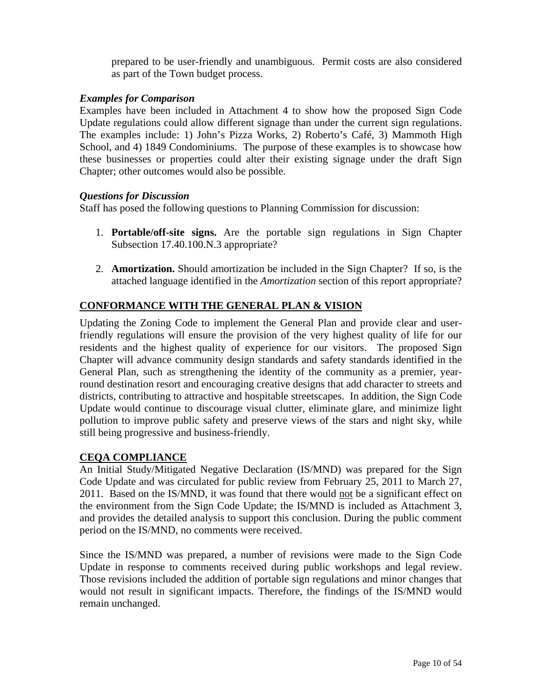prepared to be user-friendly and unambiguous. Permit costs are also considered as part of the Town budget process.

#### *Examples for Comparison*

Examples have been included in Attachment 4 to show how the proposed Sign Code Update regulations could allow different signage than under the current sign regulations. The examples include: 1) John's Pizza Works, 2) Roberto's Café, 3) Mammoth High School, and 4) 1849 Condominiums. The purpose of these examples is to showcase how these businesses or properties could alter their existing signage under the draft Sign Chapter; other outcomes would also be possible.

#### *Questions for Discussion*

Staff has posed the following questions to Planning Commission for discussion:

- 1. **Portable/off-site signs.** Are the portable sign regulations in Sign Chapter Subsection 17.40.100.N.3 appropriate?
- 2. **Amortization.** Should amortization be included in the Sign Chapter? If so, is the attached language identified in the *Amortization* section of this report appropriate?

### **CONFORMANCE WITH THE GENERAL PLAN & VISION**

Updating the Zoning Code to implement the General Plan and provide clear and userfriendly regulations will ensure the provision of the very highest quality of life for our residents and the highest quality of experience for our visitors. The proposed Sign Chapter will advance community design standards and safety standards identified in the General Plan, such as strengthening the identity of the community as a premier, yearround destination resort and encouraging creative designs that add character to streets and districts, contributing to attractive and hospitable streetscapes. In addition, the Sign Code Update would continue to discourage visual clutter, eliminate glare, and minimize light pollution to improve public safety and preserve views of the stars and night sky, while still being progressive and business-friendly.

#### **CEQA COMPLIANCE**

An Initial Study/Mitigated Negative Declaration (IS/MND) was prepared for the Sign Code Update and was circulated for public review from February 25, 2011 to March 27, 2011. Based on the IS/MND, it was found that there would not be a significant effect on the environment from the Sign Code Update; the IS/MND is included as Attachment 3, and provides the detailed analysis to support this conclusion. During the public comment period on the IS/MND, no comments were received.

Since the IS/MND was prepared, a number of revisions were made to the Sign Code Update in response to comments received during public workshops and legal review. Those revisions included the addition of portable sign regulations and minor changes that would not result in significant impacts. Therefore, the findings of the IS/MND would remain unchanged.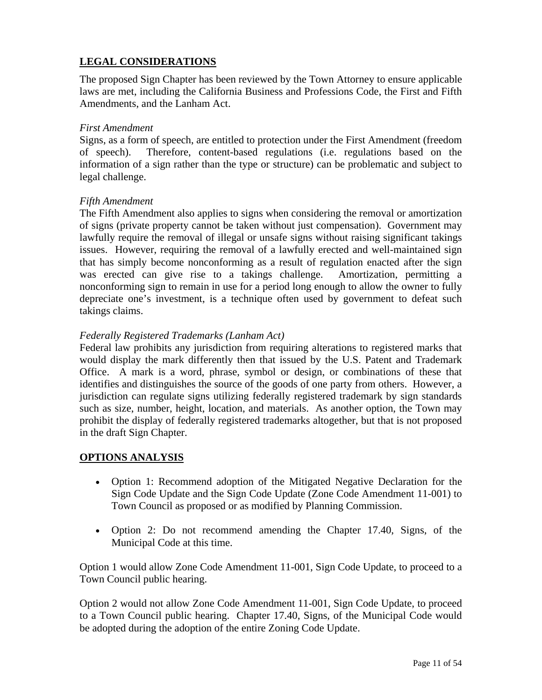# **LEGAL CONSIDERATIONS**

The proposed Sign Chapter has been reviewed by the Town Attorney to ensure applicable laws are met, including the California Business and Professions Code, the First and Fifth Amendments, and the Lanham Act.

#### *First Amendment*

Signs, as a form of speech, are entitled to protection under the First Amendment (freedom of speech). Therefore, content-based regulations (i.e. regulations based on the information of a sign rather than the type or structure) can be problematic and subject to legal challenge.

#### *Fifth Amendment*

The Fifth Amendment also applies to signs when considering the removal or amortization of signs (private property cannot be taken without just compensation). Government may lawfully require the removal of illegal or unsafe signs without raising significant takings issues. However, requiring the removal of a lawfully erected and well-maintained sign that has simply become nonconforming as a result of regulation enacted after the sign was erected can give rise to a takings challenge. Amortization, permitting a nonconforming sign to remain in use for a period long enough to allow the owner to fully depreciate one's investment, is a technique often used by government to defeat such takings claims.

### *Federally Registered Trademarks (Lanham Act)*

Federal law prohibits any jurisdiction from requiring alterations to registered marks that would display the mark differently then that issued by the U.S. Patent and Trademark Office. A mark is a word, phrase, symbol or design, or combinations of these that identifies and distinguishes the source of the goods of one party from others. However, a jurisdiction can regulate signs utilizing federally registered trademark by sign standards such as size, number, height, location, and materials. As another option, the Town may prohibit the display of federally registered trademarks altogether, but that is not proposed in the draft Sign Chapter.

### **OPTIONS ANALYSIS**

- Option 1: Recommend adoption of the Mitigated Negative Declaration for the Sign Code Update and the Sign Code Update (Zone Code Amendment 11-001) to Town Council as proposed or as modified by Planning Commission.
- Option 2: Do not recommend amending the Chapter 17.40, Signs, of the Municipal Code at this time.

Option 1 would allow Zone Code Amendment 11-001, Sign Code Update, to proceed to a Town Council public hearing.

Option 2 would not allow Zone Code Amendment 11-001, Sign Code Update, to proceed to a Town Council public hearing. Chapter 17.40, Signs, of the Municipal Code would be adopted during the adoption of the entire Zoning Code Update.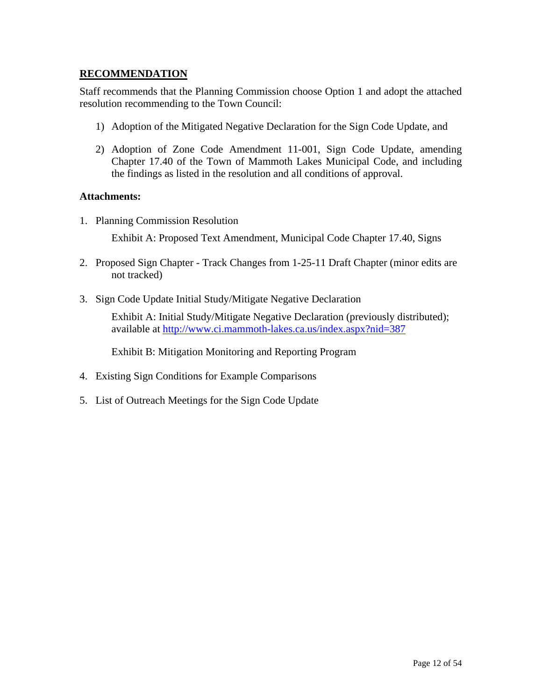#### **RECOMMENDATION**

Staff recommends that the Planning Commission choose Option 1 and adopt the attached resolution recommending to the Town Council:

- 1) Adoption of the Mitigated Negative Declaration for the Sign Code Update, and
- 2) Adoption of Zone Code Amendment 11-001, Sign Code Update, amending Chapter 17.40 of the Town of Mammoth Lakes Municipal Code, and including the findings as listed in the resolution and all conditions of approval.

#### **Attachments:**

1. Planning Commission Resolution

Exhibit A: Proposed Text Amendment, Municipal Code Chapter 17.40, Signs

- 2. Proposed Sign Chapter Track Changes from 1-25-11 Draft Chapter (minor edits are not tracked)
- 3. Sign Code Update Initial Study/Mitigate Negative Declaration

Exhibit A: Initial Study/Mitigate Negative Declaration (previously distributed); available at<http://www.ci.mammoth-lakes.ca.us/index.aspx?nid=387>

Exhibit B: Mitigation Monitoring and Reporting Program

- 4. Existing Sign Conditions for Example Comparisons
- 5. List of Outreach Meetings for the Sign Code Update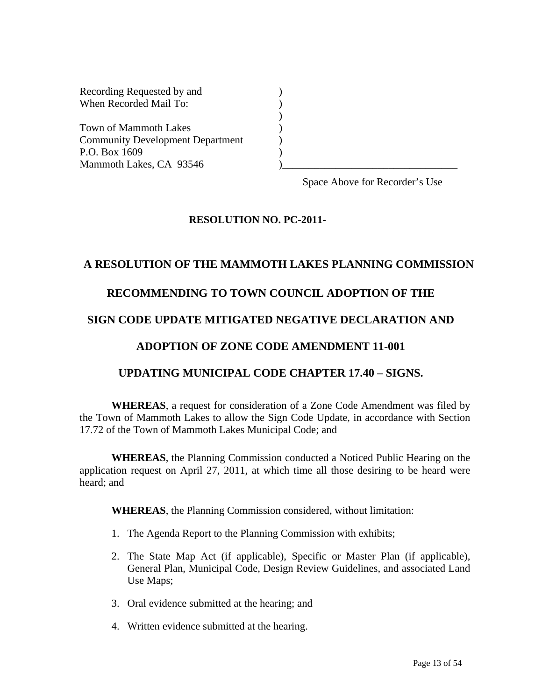| Recording Requested by and              |  |
|-----------------------------------------|--|
| When Recorded Mail To:                  |  |
|                                         |  |
| Town of Mammoth Lakes                   |  |
| <b>Community Development Department</b> |  |
| P.O. Box 1609                           |  |
| Mammoth Lakes, CA 93546                 |  |

Space Above for Recorder's Use

#### **RESOLUTION NO. PC-2011-**

#### **A RESOLUTION OF THE MAMMOTH LAKES PLANNING COMMISSION**

### **RECOMMENDING TO TOWN COUNCIL ADOPTION OF THE**

#### **SIGN CODE UPDATE MITIGATED NEGATIVE DECLARATION AND**

#### **ADOPTION OF ZONE CODE AMENDMENT 11-001**

### **UPDATING MUNICIPAL CODE CHAPTER 17.40 – SIGNS.**

 **WHEREAS**, a request for consideration of a Zone Code Amendment was filed by the Town of Mammoth Lakes to allow the Sign Code Update, in accordance with Section 17.72 of the Town of Mammoth Lakes Municipal Code; and

**WHEREAS**, the Planning Commission conducted a Noticed Public Hearing on the application request on April 27, 2011, at which time all those desiring to be heard were heard; and

**WHEREAS**, the Planning Commission considered, without limitation:

- 1. The Agenda Report to the Planning Commission with exhibits;
- 2. The State Map Act (if applicable), Specific or Master Plan (if applicable), General Plan, Municipal Code, Design Review Guidelines, and associated Land Use Maps;
- 3. Oral evidence submitted at the hearing; and
- 4. Written evidence submitted at the hearing.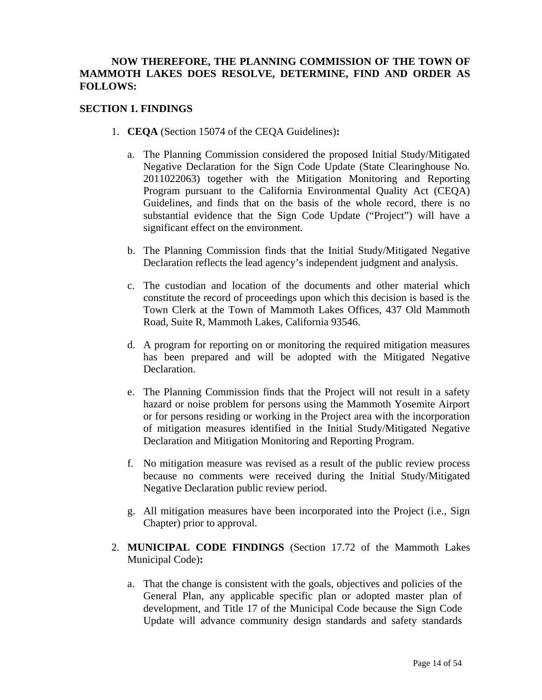#### **NOW THEREFORE, THE PLANNING COMMISSION OF THE TOWN OF MAMMOTH LAKES DOES RESOLVE, DETERMINE, FIND AND ORDER AS FOLLOWS:**

#### **SECTION 1. FINDINGS**

- 1. **CEQA** (Section 15074 of the CEQA Guidelines)**:** 
	- a. The Planning Commission considered the proposed Initial Study/Mitigated Negative Declaration for the Sign Code Update (State Clearinghouse No. 2011022063) together with the Mitigation Monitoring and Reporting Program pursuant to the California Environmental Quality Act (CEQA) Guidelines, and finds that on the basis of the whole record, there is no substantial evidence that the Sign Code Update ("Project") will have a significant effect on the environment.
	- b. The Planning Commission finds that the Initial Study/Mitigated Negative Declaration reflects the lead agency's independent judgment and analysis.
	- c. The custodian and location of the documents and other material which constitute the record of proceedings upon which this decision is based is the Town Clerk at the Town of Mammoth Lakes Offices, 437 Old Mammoth Road, Suite R, Mammoth Lakes, California 93546.
	- d. A program for reporting on or monitoring the required mitigation measures has been prepared and will be adopted with the Mitigated Negative Declaration.
	- e. The Planning Commission finds that the Project will not result in a safety hazard or noise problem for persons using the Mammoth Yosemite Airport or for persons residing or working in the Project area with the incorporation of mitigation measures identified in the Initial Study/Mitigated Negative Declaration and Mitigation Monitoring and Reporting Program.
	- f. No mitigation measure was revised as a result of the public review process because no comments were received during the Initial Study/Mitigated Negative Declaration public review period.
	- g. All mitigation measures have been incorporated into the Project (i.e., Sign Chapter) prior to approval.
- 2. **MUNICIPAL CODE FINDINGS** (Section 17.72 of the Mammoth Lakes Municipal Code)**:** 
	- a. That the change is consistent with the goals, objectives and policies of the General Plan, any applicable specific plan or adopted master plan of development, and Title 17 of the Municipal Code because the Sign Code Update will advance community design standards and safety standards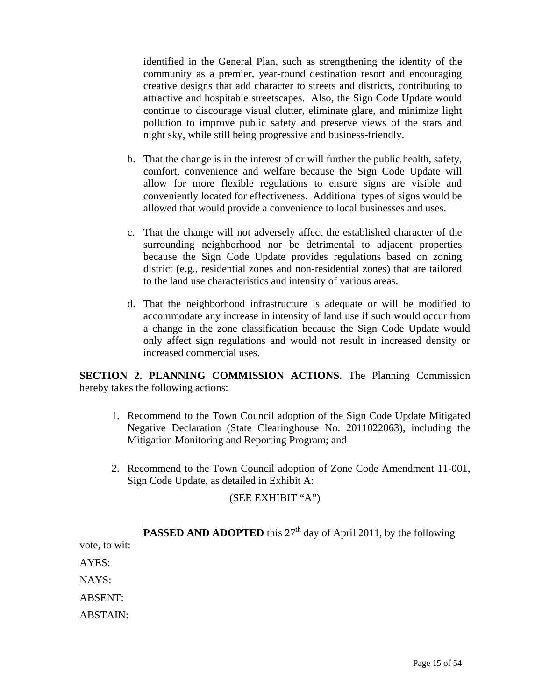identified in the General Plan, such as strengthening the identity of the community as a premier, year-round destination resort and encouraging creative designs that add character to streets and districts, contributing to attractive and hospitable streetscapes. Also, the Sign Code Update would continue to discourage visual clutter, eliminate glare, and minimize light pollution to improve public safety and preserve views of the stars and night sky, while still being progressive and business-friendly.

- b. That the change is in the interest of or will further the public health, safety, comfort, convenience and welfare because the Sign Code Update will allow for more flexible regulations to ensure signs are visible and conveniently located for effectiveness. Additional types of signs would be allowed that would provide a convenience to local businesses and uses.
- c. That the change will not adversely affect the established character of the surrounding neighborhood nor be detrimental to adjacent properties because the Sign Code Update provides regulations based on zoning district (e.g., residential zones and non-residential zones) that are tailored to the land use characteristics and intensity of various areas.
- d. That the neighborhood infrastructure is adequate or will be modified to accommodate any increase in intensity of land use if such would occur from a change in the zone classification because the Sign Code Update would only affect sign regulations and would not result in increased density or increased commercial uses.

**SECTION 2. PLANNING COMMISSION ACTIONS.** The Planning Commission hereby takes the following actions:

- 1. Recommend to the Town Council adoption of the Sign Code Update Mitigated Negative Declaration (State Clearinghouse No. 2011022063), including the Mitigation Monitoring and Reporting Program; and
- 2. Recommend to the Town Council adoption of Zone Code Amendment 11-001, Sign Code Update, as detailed in Exhibit A:

### (SEE EXHIBIT "A")

|                | <b>PASSED AND ADOPTED</b> this 27 <sup>th</sup> day of April 2011, by the following |
|----------------|-------------------------------------------------------------------------------------|
| vote, to wit:  |                                                                                     |
| AYES:          |                                                                                     |
| NAYS:          |                                                                                     |
| <b>ABSENT:</b> |                                                                                     |
| ABSTAIN:       |                                                                                     |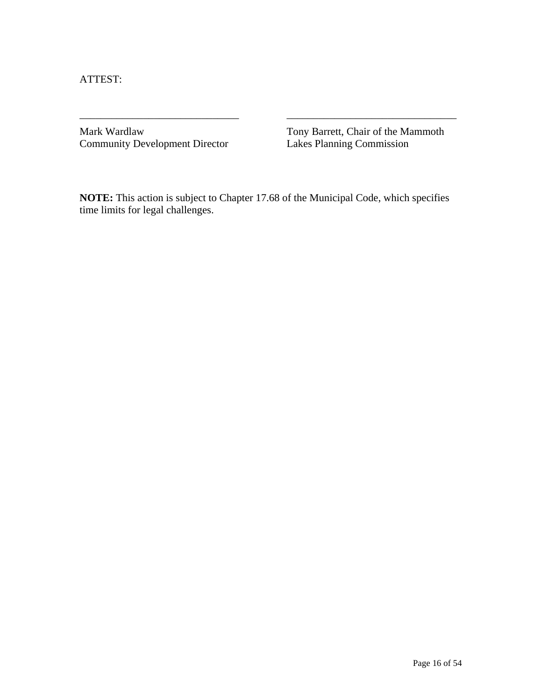ATTEST:

Community Development Director

Mark Wardlaw Tony Barrett, Chair of the Mammoth<br>
Community Development Director Lakes Planning Commission

**NOTE:** This action is subject to Chapter 17.68 of the Municipal Code, which specifies time limits for legal challenges.

\_\_\_\_\_\_\_\_\_\_\_\_\_\_\_\_\_\_\_\_\_\_\_\_\_\_\_\_\_\_ \_\_\_\_\_\_\_\_\_\_\_\_\_\_\_\_\_\_\_\_\_\_\_\_\_\_\_\_\_\_\_\_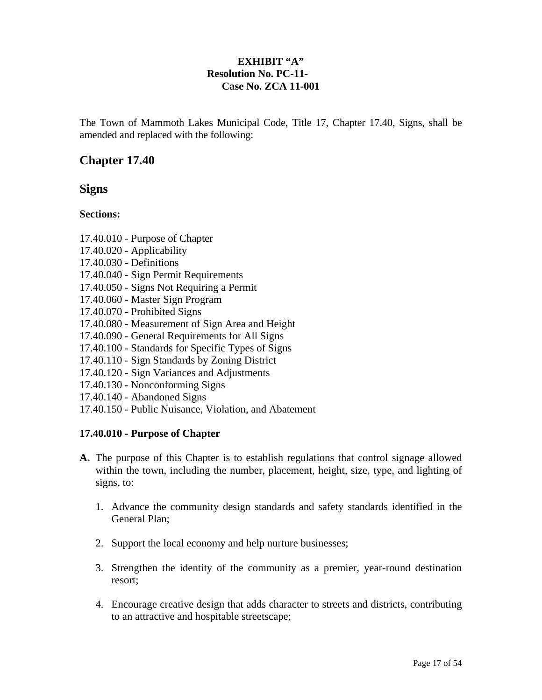### **EXHIBIT "A" Resolution No. PC-11- Case No. ZCA 11-001**

The Town of Mammoth Lakes Municipal Code, Title 17, Chapter 17.40, Signs, shall be amended and replaced with the following:

# **Chapter 17.40**

# **Signs**

#### **Sections:**

- 17.40.010 Purpose of Chapter
- 17.40.020 Applicability
- 17.40.030 Definitions
- 17.40.040 Sign Permit Requirements
- 17.40.050 Signs Not Requiring a Permit
- 17.40.060 Master Sign Program
- 17.40.070 Prohibited Signs
- 17.40.080 Measurement of Sign Area and Height
- 17.40.090 General Requirements for All Signs
- 17.40.100 Standards for Specific Types of Signs
- 17.40.110 Sign Standards by Zoning District
- 17.40.120 Sign Variances and Adjustments
- 17.40.130 Nonconforming Signs
- 17.40.140 Abandoned Signs
- 17.40.150 Public Nuisance, Violation, and Abatement

### **17.40.010 - Purpose of Chapter**

- **A.** The purpose of this Chapter is to establish regulations that control signage allowed within the town, including the number, placement, height, size, type, and lighting of signs, to:
	- 1. Advance the community design standards and safety standards identified in the General Plan;
	- 2. Support the local economy and help nurture businesses;
	- 3. Strengthen the identity of the community as a premier, year-round destination resort;
	- 4. Encourage creative design that adds character to streets and districts, contributing to an attractive and hospitable streetscape;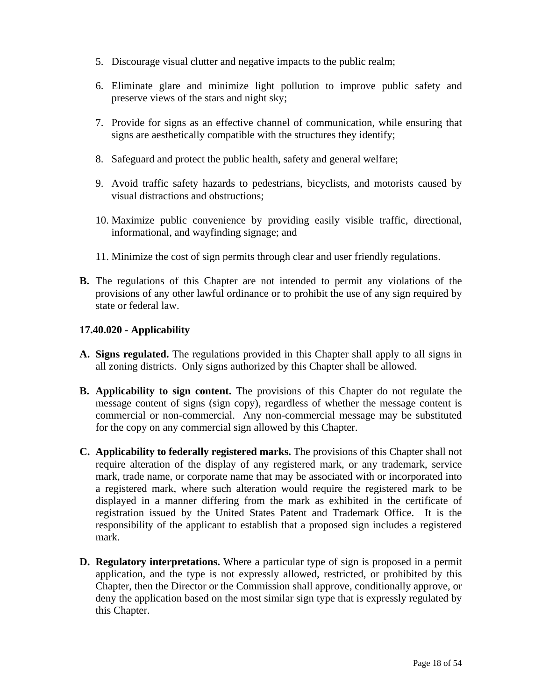- 5. Discourage visual clutter and negative impacts to the public realm;
- 6. Eliminate glare and minimize light pollution to improve public safety and preserve views of the stars and night sky;
- 7. Provide for signs as an effective channel of communication, while ensuring that signs are aesthetically compatible with the structures they identify;
- 8. Safeguard and protect the public health, safety and general welfare;
- 9. Avoid traffic safety hazards to pedestrians, bicyclists, and motorists caused by visual distractions and obstructions;
- 10. Maximize public convenience by providing easily visible traffic, directional, informational, and wayfinding signage; and
- 11. Minimize the cost of sign permits through clear and user friendly regulations.
- **B.** The regulations of this Chapter are not intended to permit any violations of the provisions of any other lawful ordinance or to prohibit the use of any sign required by state or federal law.

#### **17.40.020 - Applicability**

- **A. Signs regulated.** The regulations provided in this Chapter shall apply to all signs in all zoning districts. Only signs authorized by this Chapter shall be allowed.
- **B. Applicability to sign content.** The provisions of this Chapter do not regulate the message content of signs (sign copy), regardless of whether the message content is commercial or non-commercial. Any non-commercial message may be substituted for the copy on any commercial sign allowed by this Chapter.
- **C. Applicability to federally registered marks.** The provisions of this Chapter shall not require alteration of the display of any registered mark, or any trademark, service mark, trade name, or corporate name that may be associated with or incorporated into a registered mark, where such alteration would require the registered mark to be displayed in a manner differing from the mark as exhibited in the certificate of registration issued by the United States Patent and Trademark Office. It is the responsibility of the applicant to establish that a proposed sign includes a registered mark.
- **D. Regulatory interpretations.** Where a particular type of sign is proposed in a permit application, and the type is not expressly allowed, restricted, or prohibited by this Chapter, then the Director or the Commission shall approve, conditionally approve, or deny the application based on the most similar sign type that is expressly regulated by this Chapter.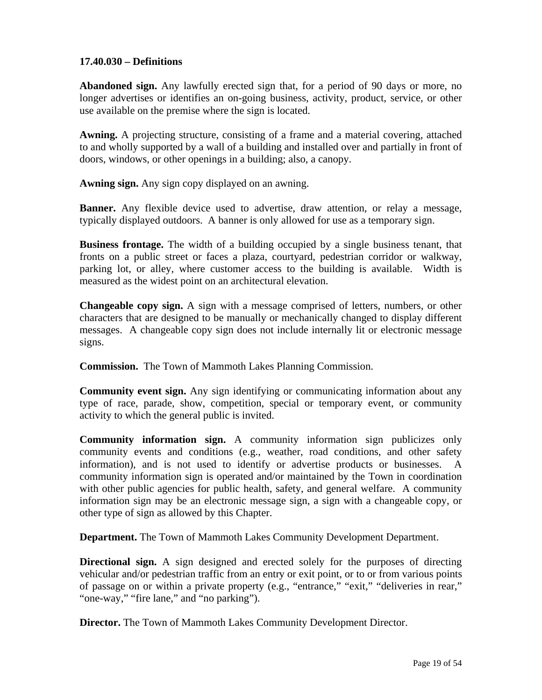#### **17.40.030 – Definitions**

**Abandoned sign.** Any lawfully erected sign that, for a period of 90 days or more, no longer advertises or identifies an on-going business, activity, product, service, or other use available on the premise where the sign is located.

**Awning.** A projecting structure, consisting of a frame and a material covering, attached to and wholly supported by a wall of a building and installed over and partially in front of doors, windows, or other openings in a building; also, a canopy.

**Awning sign.** Any sign copy displayed on an awning.

**Banner.** Any flexible device used to advertise, draw attention, or relay a message, typically displayed outdoors. A banner is only allowed for use as a temporary sign.

**Business frontage.** The width of a building occupied by a single business tenant, that fronts on a public street or faces a plaza, courtyard, pedestrian corridor or walkway, parking lot, or alley, where customer access to the building is available. Width is measured as the widest point on an architectural elevation.

**Changeable copy sign.** A sign with a message comprised of letters, numbers, or other characters that are designed to be manually or mechanically changed to display different messages.A changeable copy sign does not include internally lit or electronic message signs.

**Commission.** The Town of Mammoth Lakes Planning Commission.

**Community event sign.** Any sign identifying or communicating information about any type of race, parade, show, competition, special or temporary event, or community activity to which the general public is invited.

**Community information sign.** A community information sign publicizes only community events and conditions (e.g., weather, road conditions, and other safety information), and is not used to identify or advertise products or businesses. A community information sign is operated and/or maintained by the Town in coordination with other public agencies for public health, safety, and general welfare. A community information sign may be an electronic message sign, a sign with a changeable copy, or other type of sign as allowed by this Chapter.

**Department.** The Town of Mammoth Lakes Community Development Department.

**Directional sign.** A sign designed and erected solely for the purposes of directing vehicular and/or pedestrian traffic from an entry or exit point, or to or from various points of passage on or within a private property (e.g., "entrance," "exit," "deliveries in rear," "one-way," "fire lane," and "no parking").

**Director.** The Town of Mammoth Lakes Community Development Director.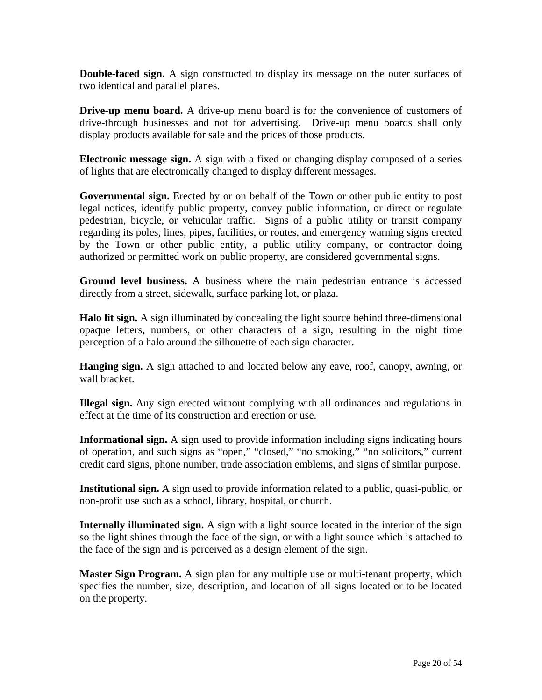**Double-faced sign.** A sign constructed to display its message on the outer surfaces of two identical and parallel planes.

**Drive-up menu board.** A drive-up menu board is for the convenience of customers of drive-through businesses and not for advertising. Drive-up menu boards shall only display products available for sale and the prices of those products.

**Electronic message sign.** A sign with a fixed or changing display composed of a series of lights that are electronically changed to display different messages.

**Governmental sign.** Erected by or on behalf of the Town or other public entity to post legal notices, identify public property, convey public information, or direct or regulate pedestrian, bicycle, or vehicular traffic. Signs of a public utility or transit company regarding its poles, lines, pipes, facilities, or routes, and emergency warning signs erected by the Town or other public entity, a public utility company, or contractor doing authorized or permitted work on public property, are considered governmental signs.

**Ground level business.** A business where the main pedestrian entrance is accessed directly from a street, sidewalk, surface parking lot, or plaza.

**Halo lit sign.** A sign illuminated by concealing the light source behind three-dimensional opaque letters, numbers, or other characters of a sign, resulting in the night time perception of a halo around the silhouette of each sign character.

**Hanging sign.** A sign attached to and located below any eave, roof, canopy, awning, or wall bracket.

**Illegal sign.** Any sign erected without complying with all ordinances and regulations in effect at the time of its construction and erection or use.

**Informational sign.** A sign used to provide information including signs indicating hours of operation, and such signs as "open," "closed," "no smoking," "no solicitors," current credit card signs, phone number, trade association emblems, and signs of similar purpose.

**Institutional sign.** A sign used to provide information related to a public, quasi-public, or non-profit use such as a school, library, hospital, or church.

**Internally illuminated sign.** A sign with a light source located in the interior of the sign so the light shines through the face of the sign, or with a light source which is attached to the face of the sign and is perceived as a design element of the sign.

**Master Sign Program.** A sign plan for any multiple use or multi-tenant property, which specifies the number, size, description, and location of all signs located or to be located on the property.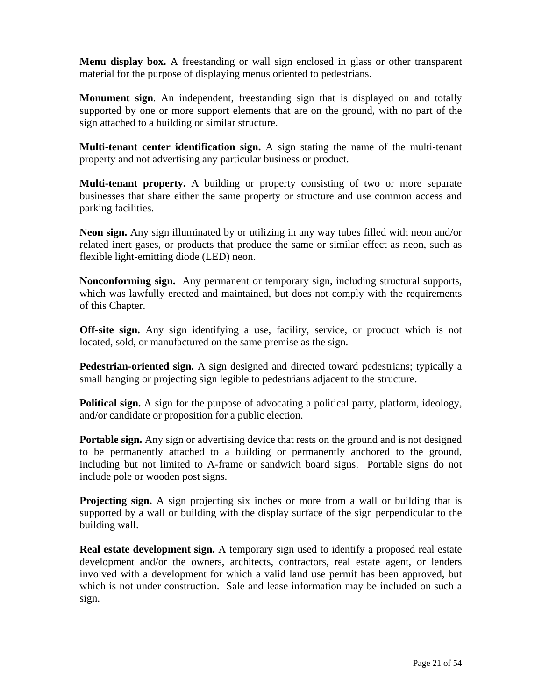**Menu display box.** A freestanding or wall sign enclosed in glass or other transparent material for the purpose of displaying menus oriented to pedestrians.

**Monument sign**. An independent, freestanding sign that is displayed on and totally supported by one or more support elements that are on the ground, with no part of the sign attached to a building or similar structure.

**Multi-tenant center identification sign.** A sign stating the name of the multi-tenant property and not advertising any particular business or product.

**Multi-tenant property.** A building or property consisting of two or more separate businesses that share either the same property or structure and use common access and parking facilities.

**Neon sign.** Any sign illuminated by or utilizing in any way tubes filled with neon and/or related inert gases, or products that produce the same or similar effect as neon, such as flexible light-emitting diode (LED) neon.

**Nonconforming sign.** Any permanent or temporary sign, including structural supports, which was lawfully erected and maintained, but does not comply with the requirements of this Chapter.

**Off-site sign.** Any sign identifying a use, facility, service, or product which is not located, sold, or manufactured on the same premise as the sign.

**Pedestrian-oriented sign.** A sign designed and directed toward pedestrians; typically a small hanging or projecting sign legible to pedestrians adjacent to the structure.

**Political sign.** A sign for the purpose of advocating a political party, platform, ideology, and/or candidate or proposition for a public election.

**Portable sign.** Any sign or advertising device that rests on the ground and is not designed to be permanently attached to a building or permanently anchored to the ground, including but not limited to A-frame or sandwich board signs. Portable signs do not include pole or wooden post signs.

**Projecting sign.** A sign projecting six inches or more from a wall or building that is supported by a wall or building with the display surface of the sign perpendicular to the building wall.

**Real estate development sign.** A temporary sign used to identify a proposed real estate development and/or the owners, architects, contractors, real estate agent, or lenders involved with a development for which a valid land use permit has been approved, but which is not under construction. Sale and lease information may be included on such a sign.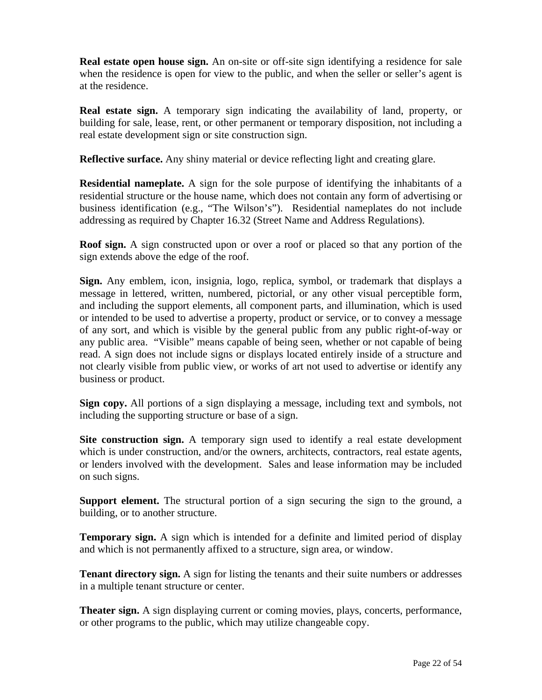**Real estate open house sign.** An on-site or off-site sign identifying a residence for sale when the residence is open for view to the public, and when the seller or seller's agent is at the residence.

**Real estate sign.** A temporary sign indicating the availability of land, property, or building for sale, lease, rent, or other permanent or temporary disposition, not including a real estate development sign or site construction sign.

**Reflective surface.** Any shiny material or device reflecting light and creating glare.

**Residential nameplate.** A sign for the sole purpose of identifying the inhabitants of a residential structure or the house name, which does not contain any form of advertising or business identification (e.g., "The Wilson's"). Residential nameplates do not include addressing as required by Chapter 16.32 (Street Name and Address Regulations).

**Roof sign.** A sign constructed upon or over a roof or placed so that any portion of the sign extends above the edge of the roof.

**Sign.** Any emblem, icon, insignia, logo, replica, symbol, or trademark that displays a message in lettered, written, numbered, pictorial, or any other visual perceptible form, and including the support elements, all component parts, and illumination, which is used or intended to be used to advertise a property, product or service, or to convey a message of any sort, and which is visible by the general public from any public right-of-way or any public area. "Visible" means capable of being seen, whether or not capable of being read. A sign does not include signs or displays located entirely inside of a structure and not clearly visible from public view, or works of art not used to advertise or identify any business or product.

**Sign copy.** All portions of a sign displaying a message, including text and symbols, not including the supporting structure or base of a sign.

**Site construction sign.** A temporary sign used to identify a real estate development which is under construction, and/or the owners, architects, contractors, real estate agents, or lenders involved with the development. Sales and lease information may be included on such signs.

**Support element.** The structural portion of a sign securing the sign to the ground, a building, or to another structure.

**Temporary sign.** A sign which is intended for a definite and limited period of display and which is not permanently affixed to a structure, sign area, or window.

**Tenant directory sign.** A sign for listing the tenants and their suite numbers or addresses in a multiple tenant structure or center.

**Theater sign.** A sign displaying current or coming movies, plays, concerts, performance, or other programs to the public, which may utilize changeable copy.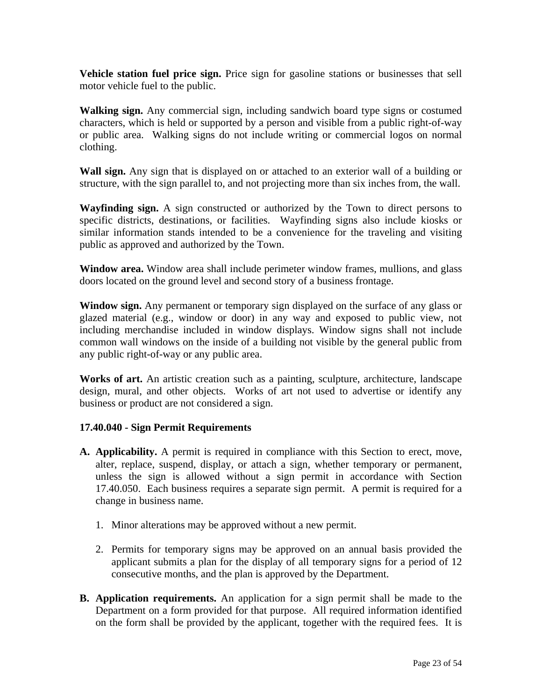**Vehicle station fuel price sign.** Price sign for gasoline stations or businesses that sell motor vehicle fuel to the public.

**Walking sign.** Any commercial sign, including sandwich board type signs or costumed characters, which is held or supported by a person and visible from a public right-of-way or public area. Walking signs do not include writing or commercial logos on normal clothing.

**Wall sign.** Any sign that is displayed on or attached to an exterior wall of a building or structure, with the sign parallel to, and not projecting more than six inches from, the wall.

**Wayfinding sign.** A sign constructed or authorized by the Town to direct persons to specific districts, destinations, or facilities. Wayfinding signs also include kiosks or similar information stands intended to be a convenience for the traveling and visiting public as approved and authorized by the Town.

**Window area.** Window area shall include perimeter window frames, mullions, and glass doors located on the ground level and second story of a business frontage.

**Window sign.** Any permanent or temporary sign displayed on the surface of any glass or glazed material (e.g., window or door) in any way and exposed to public view, not including merchandise included in window displays. Window signs shall not include common wall windows on the inside of a building not visible by the general public from any public right-of-way or any public area.

**Works of art.** An artistic creation such as a painting, sculpture, architecture, landscape design, mural, and other objects. Works of art not used to advertise or identify any business or product are not considered a sign.

#### **17.40.040 - Sign Permit Requirements**

- **A. Applicability.** A permit is required in compliance with this Section to erect, move, alter, replace, suspend, display, or attach a sign, whether temporary or permanent, unless the sign is allowed without a sign permit in accordance with Section 17.40.050. Each business requires a separate sign permit. A permit is required for a change in business name.
	- 1. Minor alterations may be approved without a new permit.
	- 2. Permits for temporary signs may be approved on an annual basis provided the applicant submits a plan for the display of all temporary signs for a period of 12 consecutive months, and the plan is approved by the Department.
- **B. Application requirements.** An application for a sign permit shall be made to the Department on a form provided for that purpose. All required information identified on the form shall be provided by the applicant, together with the required fees. It is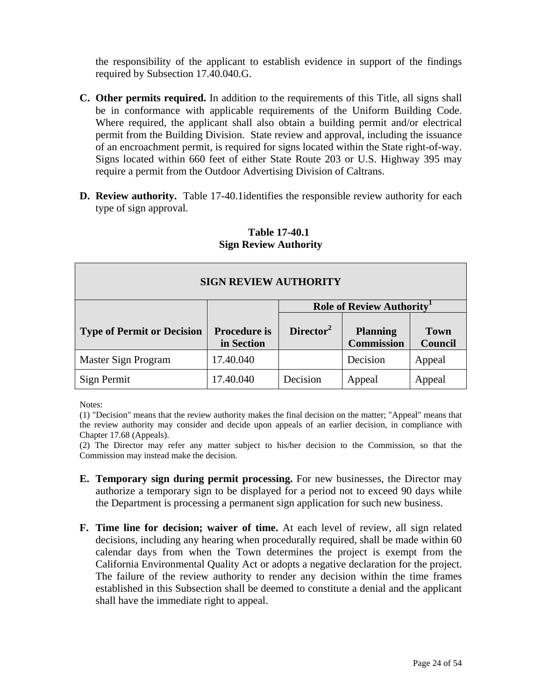the responsibility of the applicant to establish evidence in support of the findings required by Subsection 17.40.040.G.

- **C. Other permits required.** In addition to the requirements of this Title, all signs shall be in conformance with applicable requirements of the Uniform Building Code. Where required, the applicant shall also obtain a building permit and/or electrical permit from the Building Division. State review and approval, including the issuance of an encroachment permit, is required for signs located within the State right-of-way. Signs located within 660 feet of either State Route 203 or U.S. Highway 395 may require a permit from the Outdoor Advertising Division of Caltrans.
- **D.** Review authority. Table 17-40.1 identifies the responsible review authority for each type of sign approval.

| <b>SIGN REVIEW AUTHORITY</b>      |                                       |                       |                                      |                               |  |  |  |
|-----------------------------------|---------------------------------------|-----------------------|--------------------------------------|-------------------------------|--|--|--|
|                                   | Role of Review Authority <sup>1</sup> |                       |                                      |                               |  |  |  |
| <b>Type of Permit or Decision</b> | <b>Procedure is</b><br>in Section     | Director <sup>2</sup> | <b>Planning</b><br><b>Commission</b> | <b>Town</b><br><b>Council</b> |  |  |  |
| Master Sign Program               | 17.40.040                             |                       | Decision                             | Appeal                        |  |  |  |
| Sign Permit                       | 17.40.040                             | Decision              | Appeal                               | Appeal                        |  |  |  |

#### **Table 17-40.1 Sign Review Authority**

Notes:

(1) "Decision" means that the review authority makes the final decision on the matter; "Appeal" means that the review authority may consider and decide upon appeals of an earlier decision, in compliance with Chapter 17.68 (Appeals).

(2) The Director may refer any matter subject to his/her decision to the Commission, so that the Commission may instead make the decision.

- **E. Temporary sign during permit processing.** For new businesses, the Director may authorize a temporary sign to be displayed for a period not to exceed 90 days while the Department is processing a permanent sign application for such new business.
- **F. Time line for decision; waiver of time.** At each level of review, all sign related decisions, including any hearing when procedurally required, shall be made within 60 calendar days from when the Town determines the project is exempt from the California Environmental Quality Act or adopts a negative declaration for the project. The failure of the review authority to render any decision within the time frames established in this Subsection shall be deemed to constitute a denial and the applicant shall have the immediate right to appeal.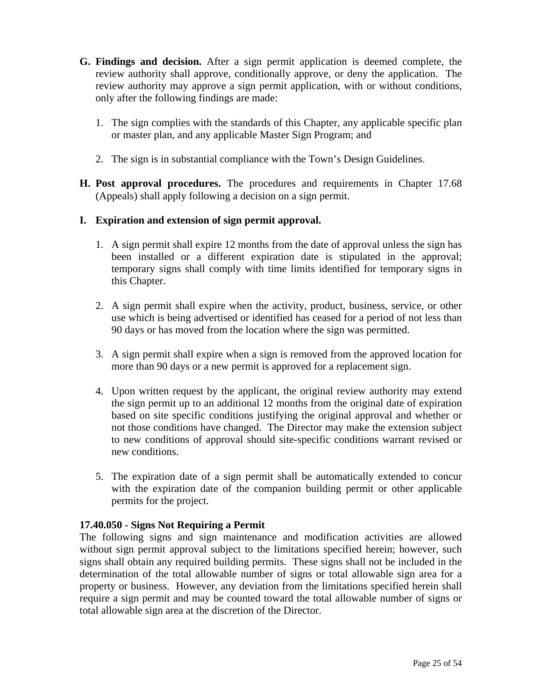- **G. Findings and decision.** After a sign permit application is deemed complete, the review authority shall approve, conditionally approve, or deny the application. The review authority may approve a sign permit application, with or without conditions, only after the following findings are made:
	- 1. The sign complies with the standards of this Chapter, any applicable specific plan or master plan, and any applicable Master Sign Program; and
	- 2. The sign is in substantial compliance with the Town's Design Guidelines.
- **H. Post approval procedures.** The procedures and requirements in Chapter 17.68 (Appeals) shall apply following a decision on a sign permit.

### **I. Expiration and extension of sign permit approval.**

- 1. A sign permit shall expire 12 months from the date of approval unless the sign has been installed or a different expiration date is stipulated in the approval; temporary signs shall comply with time limits identified for temporary signs in this Chapter.
- 2. A sign permit shall expire when the activity, product, business, service, or other use which is being advertised or identified has ceased for a period of not less than 90 days or has moved from the location where the sign was permitted.
- 3. A sign permit shall expire when a sign is removed from the approved location for more than 90 days or a new permit is approved for a replacement sign.
- 4. Upon written request by the applicant, the original review authority may extend the sign permit up to an additional 12 months from the original date of expiration based on site specific conditions justifying the original approval and whether or not those conditions have changed. The Director may make the extension subject to new conditions of approval should site-specific conditions warrant revised or new conditions.
- 5. The expiration date of a sign permit shall be automatically extended to concur with the expiration date of the companion building permit or other applicable permits for the project.

### **17.40.050 - Signs Not Requiring a Permit**

The following signs and sign maintenance and modification activities are allowed without sign permit approval subject to the limitations specified herein; however, such signs shall obtain any required building permits. These signs shall not be included in the determination of the total allowable number of signs or total allowable sign area for a property or business. However, any deviation from the limitations specified herein shall require a sign permit and may be counted toward the total allowable number of signs or total allowable sign area at the discretion of the Director.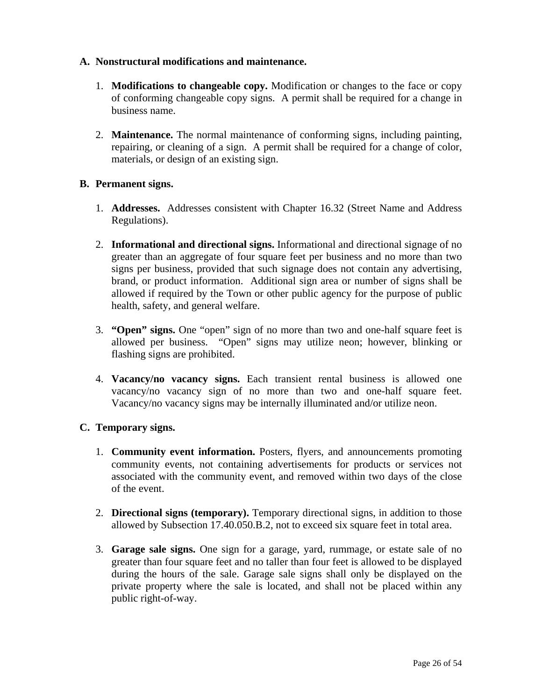#### **A. Nonstructural modifications and maintenance.**

- 1. **Modifications to changeable copy.** Modification or changes to the face or copy of conforming changeable copy signs. A permit shall be required for a change in business name.
- 2. **Maintenance.** The normal maintenance of conforming signs, including painting, repairing, or cleaning of a sign. A permit shall be required for a change of color, materials, or design of an existing sign.

#### **B. Permanent signs.**

- 1. **Addresses.** Addresses consistent with Chapter 16.32 (Street Name and Address Regulations).
- 2. **Informational and directional signs.** Informational and directional signage of no greater than an aggregate of four square feet per business and no more than two signs per business, provided that such signage does not contain any advertising, brand, or product information. Additional sign area or number of signs shall be allowed if required by the Town or other public agency for the purpose of public health, safety, and general welfare.
- 3. **"Open" signs.** One "open" sign of no more than two and one-half square feet is allowed per business. "Open" signs may utilize neon; however, blinking or flashing signs are prohibited.
- 4. **Vacancy/no vacancy signs.** Each transient rental business is allowed one vacancy/no vacancy sign of no more than two and one-half square feet. Vacancy/no vacancy signs may be internally illuminated and/or utilize neon.

### **C. Temporary signs.**

- 1. **Community event information.** Posters, flyers, and announcements promoting community events, not containing advertisements for products or services not associated with the community event, and removed within two days of the close of the event.
- 2. **Directional signs (temporary).** Temporary directional signs, in addition to those allowed by Subsection 17.40.050.B.2, not to exceed six square feet in total area.
- 3. **Garage sale signs.** One sign for a garage, yard, rummage, or estate sale of no greater than four square feet and no taller than four feet is allowed to be displayed during the hours of the sale. Garage sale signs shall only be displayed on the private property where the sale is located, and shall not be placed within any public right-of-way.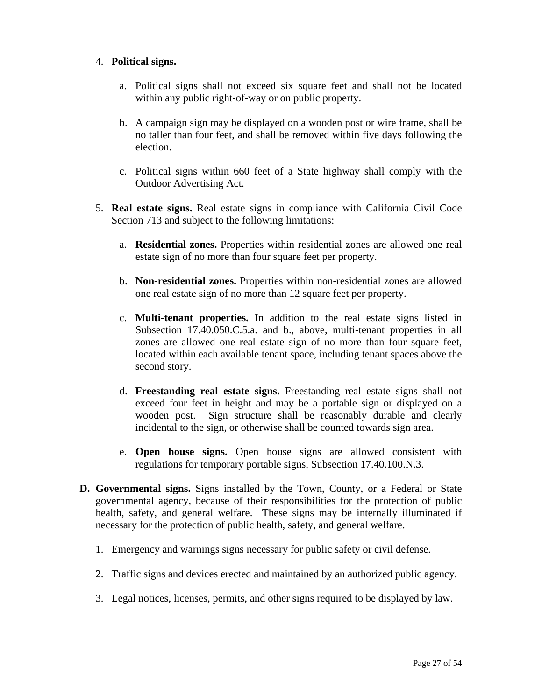#### 4. **Political signs.**

- a. Political signs shall not exceed six square feet and shall not be located within any public right-of-way or on public property.
- b. A campaign sign may be displayed on a wooden post or wire frame, shall be no taller than four feet, and shall be removed within five days following the election.
- c. Political signs within 660 feet of a State highway shall comply with the Outdoor Advertising Act.
- 5. **Real estate signs.** Real estate signs in compliance with California Civil Code Section 713 and subject to the following limitations:
	- a. **Residential zones.** Properties within residential zones are allowed one real estate sign of no more than four square feet per property.
	- b. **Non-residential zones.** Properties within non-residential zones are allowed one real estate sign of no more than 12 square feet per property.
	- c. **Multi-tenant properties.** In addition to the real estate signs listed in Subsection 17.40.050.C.5.a. and b., above, multi-tenant properties in all zones are allowed one real estate sign of no more than four square feet, located within each available tenant space, including tenant spaces above the second story.
	- d. **Freestanding real estate signs.** Freestanding real estate signs shall not exceed four feet in height and may be a portable sign or displayed on a wooden post. Sign structure shall be reasonably durable and clearly incidental to the sign, or otherwise shall be counted towards sign area.
	- e. **Open house signs.** Open house signs are allowed consistent with regulations for temporary portable signs, Subsection 17.40.100.N.3.
- **D. Governmental signs.** Signs installed by the Town, County, or a Federal or State governmental agency, because of their responsibilities for the protection of public health, safety, and general welfare. These signs may be internally illuminated if necessary for the protection of public health, safety, and general welfare.
	- 1. Emergency and warnings signs necessary for public safety or civil defense.
	- 2. Traffic signs and devices erected and maintained by an authorized public agency.
	- 3. Legal notices, licenses, permits, and other signs required to be displayed by law.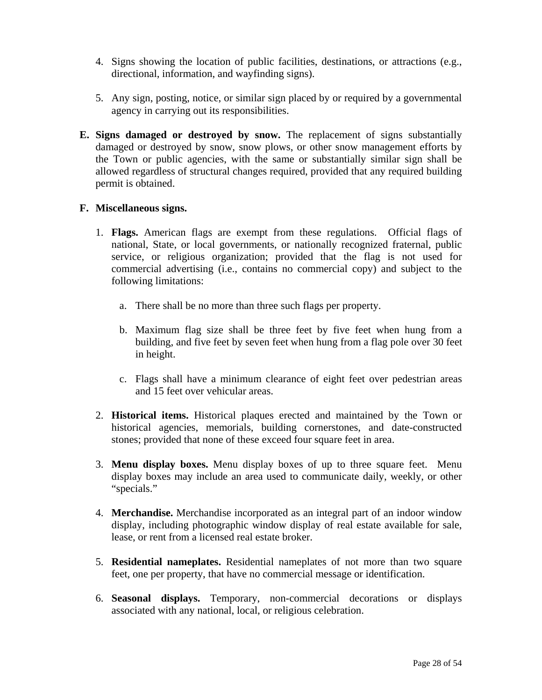- 4. Signs showing the location of public facilities, destinations, or attractions (e.g., directional, information, and wayfinding signs).
- 5. Any sign, posting, notice, or similar sign placed by or required by a governmental agency in carrying out its responsibilities.
- **E. Signs damaged or destroyed by snow.** The replacement of signs substantially damaged or destroyed by snow, snow plows, or other snow management efforts by the Town or public agencies, with the same or substantially similar sign shall be allowed regardless of structural changes required, provided that any required building permit is obtained.

#### **F. Miscellaneous signs.**

- 1. **Flags.** American flags are exempt from these regulations. Official flags of national, State, or local governments, or nationally recognized fraternal, public service, or religious organization; provided that the flag is not used for commercial advertising (i.e., contains no commercial copy) and subject to the following limitations:
	- a. There shall be no more than three such flags per property.
	- b. Maximum flag size shall be three feet by five feet when hung from a building, and five feet by seven feet when hung from a flag pole over 30 feet in height.
	- c. Flags shall have a minimum clearance of eight feet over pedestrian areas and 15 feet over vehicular areas.
- 2. **Historical items.** Historical plaques erected and maintained by the Town or historical agencies, memorials, building cornerstones, and date-constructed stones; provided that none of these exceed four square feet in area.
- 3. **Menu display boxes.** Menu display boxes of up to three square feet. Menu display boxes may include an area used to communicate daily, weekly, or other "specials."
- 4. **Merchandise.** Merchandise incorporated as an integral part of an indoor window display, including photographic window display of real estate available for sale, lease, or rent from a licensed real estate broker.
- 5. **Residential nameplates.** Residential nameplates of not more than two square feet, one per property, that have no commercial message or identification.
- 6. **Seasonal displays.** Temporary, non-commercial decorations or displays associated with any national, local, or religious celebration.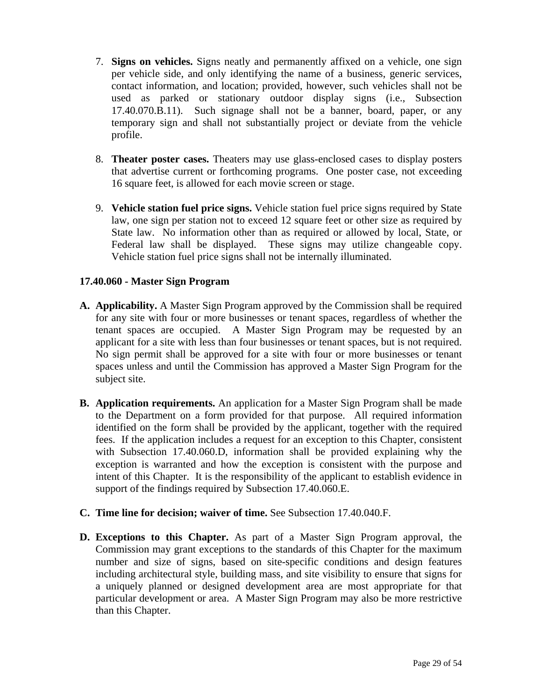- 7. **Signs on vehicles.** Signs neatly and permanently affixed on a vehicle, one sign per vehicle side, and only identifying the name of a business, generic services, contact information, and location; provided, however, such vehicles shall not be used as parked or stationary outdoor display signs (i.e., Subsection 17.40.070.B.11). Such signage shall not be a banner, board, paper, or any temporary sign and shall not substantially project or deviate from the vehicle profile.
- 8. **Theater poster cases.** Theaters may use glass-enclosed cases to display posters that advertise current or forthcoming programs. One poster case, not exceeding 16 square feet, is allowed for each movie screen or stage.
- 9. **Vehicle station fuel price signs.** Vehicle station fuel price signs required by State law, one sign per station not to exceed 12 square feet or other size as required by State law. No information other than as required or allowed by local, State, or Federal law shall be displayed. These signs may utilize changeable copy. Vehicle station fuel price signs shall not be internally illuminated.

### **17.40.060 - Master Sign Program**

- **A. Applicability.** A Master Sign Program approved by the Commission shall be required for any site with four or more businesses or tenant spaces, regardless of whether the tenant spaces are occupied. A Master Sign Program may be requested by an applicant for a site with less than four businesses or tenant spaces, but is not required. No sign permit shall be approved for a site with four or more businesses or tenant spaces unless and until the Commission has approved a Master Sign Program for the subject site.
- **B. Application requirements.** An application for a Master Sign Program shall be made to the Department on a form provided for that purpose. All required information identified on the form shall be provided by the applicant, together with the required fees. If the application includes a request for an exception to this Chapter, consistent with Subsection 17.40.060.D, information shall be provided explaining why the exception is warranted and how the exception is consistent with the purpose and intent of this Chapter. It is the responsibility of the applicant to establish evidence in support of the findings required by Subsection 17.40.060.E.
- **C. Time line for decision; waiver of time.** See Subsection 17.40.040.F.
- **D. Exceptions to this Chapter.** As part of a Master Sign Program approval, the Commission may grant exceptions to the standards of this Chapter for the maximum number and size of signs, based on site-specific conditions and design features including architectural style, building mass, and site visibility to ensure that signs for a uniquely planned or designed development area are most appropriate for that particular development or area. A Master Sign Program may also be more restrictive than this Chapter.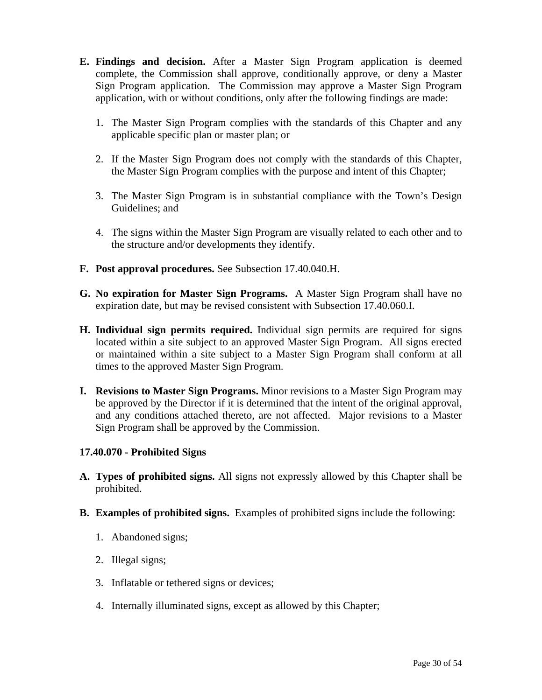- **E. Findings and decision.** After a Master Sign Program application is deemed complete, the Commission shall approve, conditionally approve, or deny a Master Sign Program application. The Commission may approve a Master Sign Program application, with or without conditions, only after the following findings are made:
	- 1. The Master Sign Program complies with the standards of this Chapter and any applicable specific plan or master plan; or
	- 2. If the Master Sign Program does not comply with the standards of this Chapter, the Master Sign Program complies with the purpose and intent of this Chapter;
	- 3. The Master Sign Program is in substantial compliance with the Town's Design Guidelines; and
	- 4. The signs within the Master Sign Program are visually related to each other and to the structure and/or developments they identify.
- **F. Post approval procedures.** See Subsection 17.40.040.H.
- **G. No expiration for Master Sign Programs.** A Master Sign Program shall have no expiration date, but may be revised consistent with Subsection 17.40.060.I.
- **H. Individual sign permits required.** Individual sign permits are required for signs located within a site subject to an approved Master Sign Program. All signs erected or maintained within a site subject to a Master Sign Program shall conform at all times to the approved Master Sign Program.
- **I. Revisions to Master Sign Programs.** Minor revisions to a Master Sign Program may be approved by the Director if it is determined that the intent of the original approval, and any conditions attached thereto, are not affected. Major revisions to a Master Sign Program shall be approved by the Commission.

### **17.40.070 - Prohibited Signs**

- **A. Types of prohibited signs.** All signs not expressly allowed by this Chapter shall be prohibited.
- **B. Examples of prohibited signs.** Examples of prohibited signs include the following:
	- 1. Abandoned signs;
	- 2. Illegal signs;
	- 3. Inflatable or tethered signs or devices;
	- 4. Internally illuminated signs, except as allowed by this Chapter;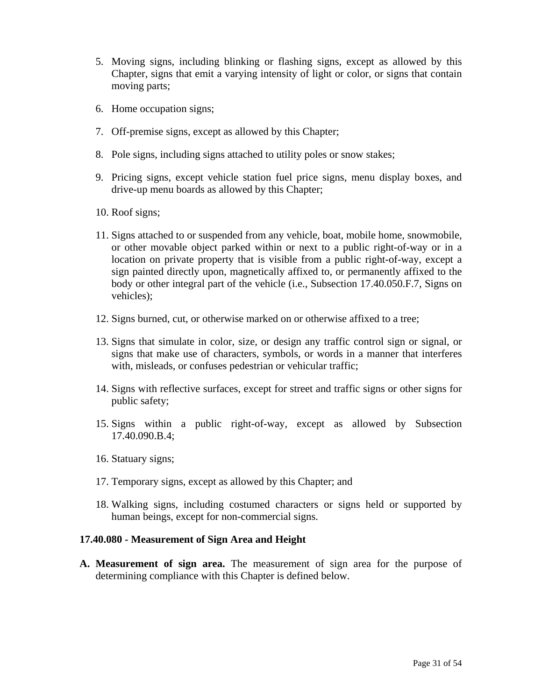- 5. Moving signs, including blinking or flashing signs, except as allowed by this Chapter, signs that emit a varying intensity of light or color, or signs that contain moving parts;
- 6. Home occupation signs;
- 7. Off-premise signs, except as allowed by this Chapter;
- 8. Pole signs, including signs attached to utility poles or snow stakes;
- 9. Pricing signs, except vehicle station fuel price signs, menu display boxes, and drive-up menu boards as allowed by this Chapter;
- 10. Roof signs;
- 11. Signs attached to or suspended from any vehicle, boat, mobile home, snowmobile, or other movable object parked within or next to a public right-of-way or in a location on private property that is visible from a public right-of-way, except a sign painted directly upon, magnetically affixed to, or permanently affixed to the body or other integral part of the vehicle (i.e., Subsection 17.40.050.F.7, Signs on vehicles);
- 12. Signs burned, cut, or otherwise marked on or otherwise affixed to a tree;
- 13. Signs that simulate in color, size, or design any traffic control sign or signal, or signs that make use of characters, symbols, or words in a manner that interferes with, misleads, or confuses pedestrian or vehicular traffic;
- 14. Signs with reflective surfaces, except for street and traffic signs or other signs for public safety;
- 15. Signs within a public right-of-way, except as allowed by Subsection 17.40.090.B.4;
- 16. Statuary signs;
- 17. Temporary signs, except as allowed by this Chapter; and
- 18. Walking signs, including costumed characters or signs held or supported by human beings, except for non-commercial signs.

#### **17.40.080 - Measurement of Sign Area and Height**

**A. Measurement of sign area.** The measurement of sign area for the purpose of determining compliance with this Chapter is defined below.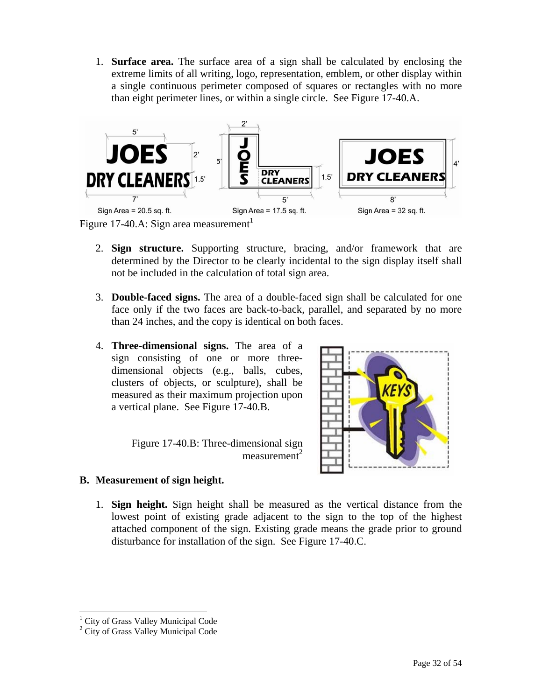1. **Surface area.** The surface area of a sign shall be calculated by enclosing the extreme limits of all writing, logo, representation, emblem, or other display within a single continuous perimeter composed of squares or rectangles with no more than eight perimeter lines, or within a single circle. See Figure 17-40.A.



- 2. **Sign structure.** Supporting structure, bracing, and/or framework that are determined by the Director to be clearly incidental to the sign display itself shall not be included in the calculation of total sign area.
- 3. **Double-faced signs.** The area of a double-faced sign shall be calculated for one face only if the two faces are back-to-back, parallel, and separated by no more than 24 inches, and the copy is identical on both faces.
- 4. **Three-dimensional signs.** The area of a sign consisting of one or more threedimensional objects (e.g., balls, cubes, clusters of objects, or sculpture), shall be measured as their maximum projection upon a vertical plane. See Figure 17-40.B.

Figure 17-40.B: Three-dimensional sign  $measured$ 



- **B. Measurement of sign height.**
	- 1. **Sign height.** Sign height shall be measured as the vertical distance from the lowest point of existing grade adjacent to the sign to the top of the highest attached component of the sign. Existing grade means the grade prior to ground disturbance for installation of the sign. See Figure 17-40.C.

 $\overline{a}$ 

<span id="page-31-0"></span><sup>&</sup>lt;sup>1</sup> City of Grass Valley Municipal Code  $\frac{2}{3}$  City of Grass Valley Municipal Code

<sup>&</sup>lt;sup>2</sup> City of Grass Valley Municipal Code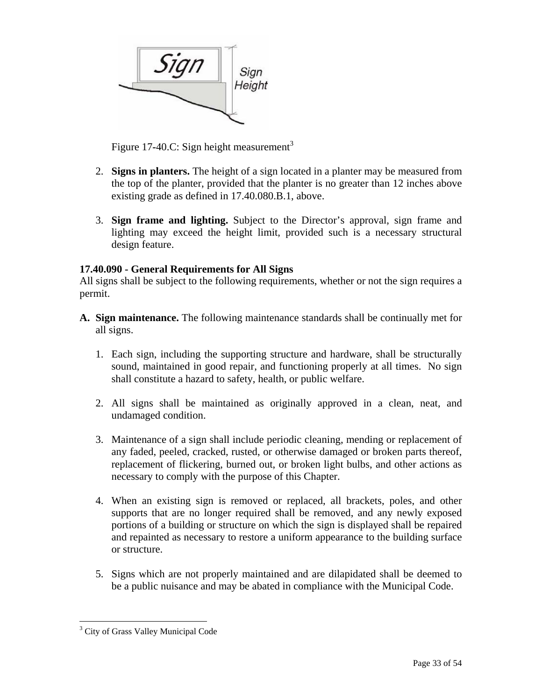

Figure 17-40.C: Sign height measurement<sup>[3](#page-32-0)</sup>

- 2. **Signs in planters.** The height of a sign located in a planter may be measured from the top of the planter, provided that the planter is no greater than 12 inches above existing grade as defined in 17.40.080.B.1, above.
- 3. **Sign frame and lighting.** Subject to the Director's approval, sign frame and lighting may exceed the height limit, provided such is a necessary structural design feature.

### **17.40.090 - General Requirements for All Signs**

All signs shall be subject to the following requirements, whether or not the sign requires a permit.

- **A. Sign maintenance.** The following maintenance standards shall be continually met for all signs.
	- 1. Each sign, including the supporting structure and hardware, shall be structurally sound, maintained in good repair, and functioning properly at all times. No sign shall constitute a hazard to safety, health, or public welfare.
	- 2. All signs shall be maintained as originally approved in a clean, neat, and undamaged condition.
	- 3. Maintenance of a sign shall include periodic cleaning, mending or replacement of any faded, peeled, cracked, rusted, or otherwise damaged or broken parts thereof, replacement of flickering, burned out, or broken light bulbs, and other actions as necessary to comply with the purpose of this Chapter.
	- 4. When an existing sign is removed or replaced, all brackets, poles, and other supports that are no longer required shall be removed, and any newly exposed portions of a building or structure on which the sign is displayed shall be repaired and repainted as necessary to restore a uniform appearance to the building surface or structure.
	- 5. Signs which are not properly maintained and are dilapidated shall be deemed to be a public nuisance and may be abated in compliance with the Municipal Code.

 $\overline{a}$ 

<span id="page-32-0"></span><sup>&</sup>lt;sup>3</sup> City of Grass Valley Municipal Code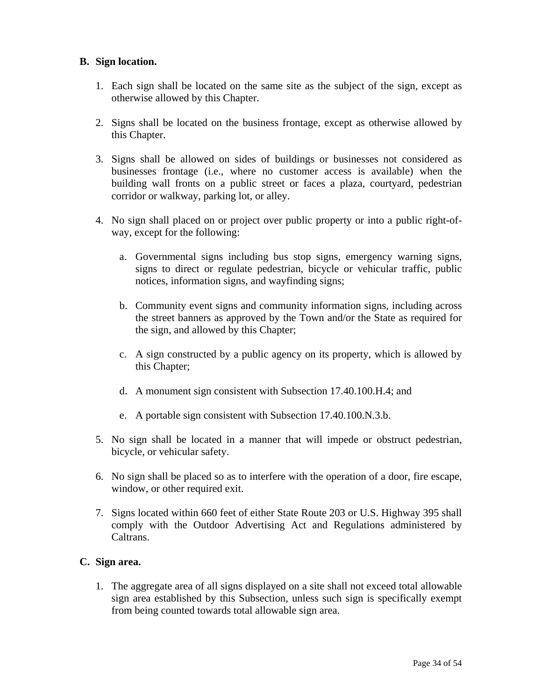#### **B. Sign location.**

- 1. Each sign shall be located on the same site as the subject of the sign, except as otherwise allowed by this Chapter.
- 2. Signs shall be located on the business frontage, except as otherwise allowed by this Chapter.
- 3. Signs shall be allowed on sides of buildings or businesses not considered as businesses frontage (i.e., where no customer access is available) when the building wall fronts on a public street or faces a plaza, courtyard, pedestrian corridor or walkway, parking lot, or alley.
- 4. No sign shall placed on or project over public property or into a public right-ofway, except for the following:
	- a. Governmental signs including bus stop signs, emergency warning signs, signs to direct or regulate pedestrian, bicycle or vehicular traffic, public notices, information signs, and wayfinding signs;
	- b. Community event signs and community information signs, including across the street banners as approved by the Town and/or the State as required for the sign, and allowed by this Chapter;
	- c. A sign constructed by a public agency on its property, which is allowed by this Chapter;
	- d. A monument sign consistent with Subsection 17.40.100.H.4; and
	- e. A portable sign consistent with Subsection 17.40.100.N.3.b.
- 5. No sign shall be located in a manner that will impede or obstruct pedestrian, bicycle, or vehicular safety.
- 6. No sign shall be placed so as to interfere with the operation of a door, fire escape, window, or other required exit.
- 7. Signs located within 660 feet of either State Route 203 or U.S. Highway 395 shall comply with the Outdoor Advertising Act and Regulations administered by Caltrans.

### **C. Sign area.**

1. The aggregate area of all signs displayed on a site shall not exceed total allowable sign area established by this Subsection, unless such sign is specifically exempt from being counted towards total allowable sign area.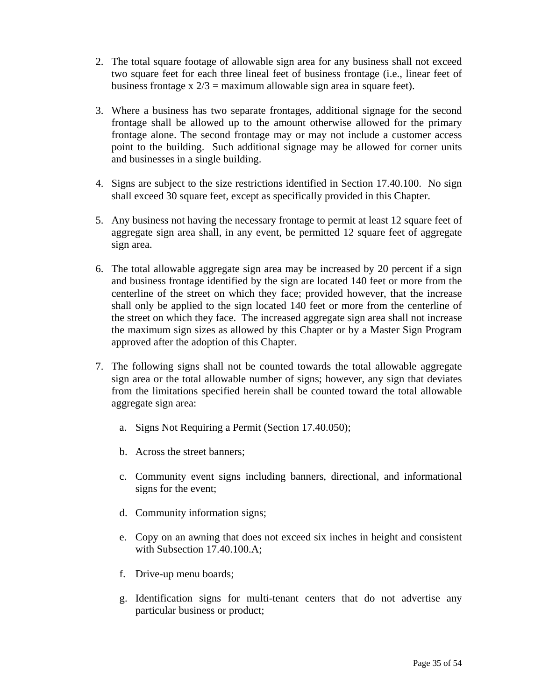- 2. The total square footage of allowable sign area for any business shall not exceed two square feet for each three lineal feet of business frontage (i.e., linear feet of business frontage x  $2/3$  = maximum allowable sign area in square feet).
- 3. Where a business has two separate frontages, additional signage for the second frontage shall be allowed up to the amount otherwise allowed for the primary frontage alone. The second frontage may or may not include a customer access point to the building. Such additional signage may be allowed for corner units and businesses in a single building.
- 4. Signs are subject to the size restrictions identified in Section 17.40.100. No sign shall exceed 30 square feet, except as specifically provided in this Chapter.
- 5. Any business not having the necessary frontage to permit at least 12 square feet of aggregate sign area shall, in any event, be permitted 12 square feet of aggregate sign area.
- 6. The total allowable aggregate sign area may be increased by 20 percent if a sign and business frontage identified by the sign are located 140 feet or more from the centerline of the street on which they face; provided however, that the increase shall only be applied to the sign located 140 feet or more from the centerline of the street on which they face. The increased aggregate sign area shall not increase the maximum sign sizes as allowed by this Chapter or by a Master Sign Program approved after the adoption of this Chapter.
- 7. The following signs shall not be counted towards the total allowable aggregate sign area or the total allowable number of signs; however, any sign that deviates from the limitations specified herein shall be counted toward the total allowable aggregate sign area:
	- a. Signs Not Requiring a Permit (Section 17.40.050);
	- b. Across the street banners;
	- c. Community event signs including banners, directional, and informational signs for the event;
	- d. Community information signs;
	- e. Copy on an awning that does not exceed six inches in height and consistent with Subsection 17.40.100.A;
	- f. Drive-up menu boards;
	- g. Identification signs for multi-tenant centers that do not advertise any particular business or product;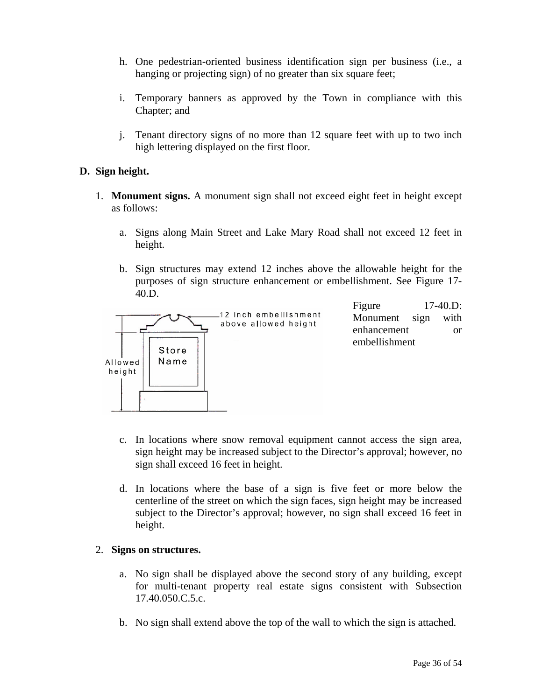- h. One pedestrian-oriented business identification sign per business (i.e., a hanging or projecting sign) of no greater than six square feet;
- i. Temporary banners as approved by the Town in compliance with this Chapter; and
- j. Tenant directory signs of no more than 12 square feet with up to two inch high lettering displayed on the first floor.

#### **D. Sign height.**

- 1. **Monument signs.** A monument sign shall not exceed eight feet in height except as follows:
	- a. Signs along Main Street and Lake Mary Road shall not exceed 12 feet in height.
	- b. Sign structures may extend 12 inches above the allowable height for the purposes of sign structure enhancement or embellishment. See Figure 17- 40.D.



Figure 17**-**40.D: Monument sign with enhancement or embellishment

- c. In locations where snow removal equipment cannot access the sign area, sign height may be increased subject to the Director's approval; however, no sign shall exceed 16 feet in height.
- d. In locations where the base of a sign is five feet or more below the centerline of the street on which the sign faces, sign height may be increased subject to the Director's approval; however, no sign shall exceed 16 feet in height.

#### 2. **Signs on structures.**

- a. No sign shall be displayed above the second story of any building, except for multi-tenant property real estate signs consistent with Subsection 17.40.050.C.5.c.
- b. No sign shall extend above the top of the wall to which the sign is attached.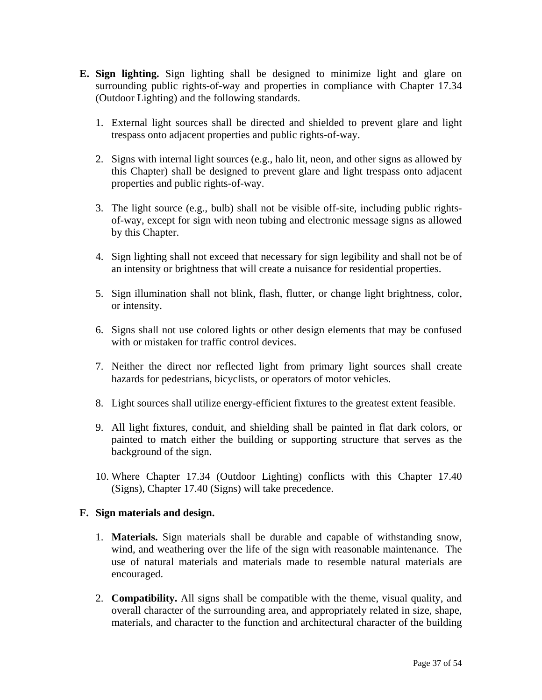- **E. Sign lighting.** Sign lighting shall be designed to minimize light and glare on surrounding public rights-of-way and properties in compliance with Chapter 17.34 (Outdoor Lighting) and the following standards.
	- 1. External light sources shall be directed and shielded to prevent glare and light trespass onto adjacent properties and public rights-of-way.
	- 2. Signs with internal light sources (e.g., halo lit, neon, and other signs as allowed by this Chapter) shall be designed to prevent glare and light trespass onto adjacent properties and public rights-of-way.
	- 3. The light source (e.g., bulb) shall not be visible off-site, including public rightsof-way, except for sign with neon tubing and electronic message signs as allowed by this Chapter.
	- 4. Sign lighting shall not exceed that necessary for sign legibility and shall not be of an intensity or brightness that will create a nuisance for residential properties.
	- 5. Sign illumination shall not blink, flash, flutter, or change light brightness, color, or intensity.
	- 6. Signs shall not use colored lights or other design elements that may be confused with or mistaken for traffic control devices.
	- 7. Neither the direct nor reflected light from primary light sources shall create hazards for pedestrians, bicyclists, or operators of motor vehicles.
	- 8. Light sources shall utilize energy-efficient fixtures to the greatest extent feasible.
	- 9. All light fixtures, conduit, and shielding shall be painted in flat dark colors, or painted to match either the building or supporting structure that serves as the background of the sign.
	- 10. Where Chapter 17.34 (Outdoor Lighting) conflicts with this Chapter 17.40 (Signs), Chapter 17.40 (Signs) will take precedence.

#### **F. Sign materials and design.**

- 1. **Materials.** Sign materials shall be durable and capable of withstanding snow, wind, and weathering over the life of the sign with reasonable maintenance. The use of natural materials and materials made to resemble natural materials are encouraged.
- 2. **Compatibility.** All signs shall be compatible with the theme, visual quality, and overall character of the surrounding area, and appropriately related in size, shape, materials, and character to the function and architectural character of the building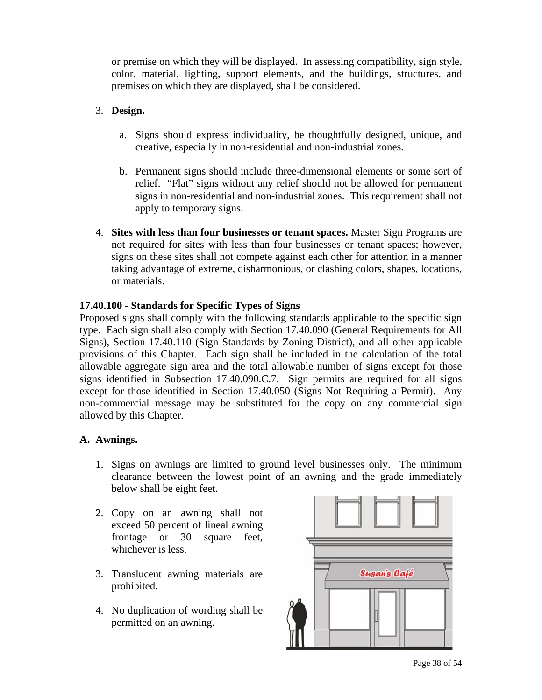or premise on which they will be displayed. In assessing compatibility, sign style, color, material, lighting, support elements, and the buildings, structures, and premises on which they are displayed, shall be considered.

#### 3. **Design.**

- a. Signs should express individuality, be thoughtfully designed, unique, and creative, especially in non-residential and non-industrial zones.
- b. Permanent signs should include three-dimensional elements or some sort of relief. "Flat" signs without any relief should not be allowed for permanent signs in non-residential and non-industrial zones. This requirement shall not apply to temporary signs.
- 4. **Sites with less than four businesses or tenant spaces.** Master Sign Programs are not required for sites with less than four businesses or tenant spaces; however, signs on these sites shall not compete against each other for attention in a manner taking advantage of extreme, disharmonious, or clashing colors, shapes, locations, or materials.

#### **17.40.100 - Standards for Specific Types of Signs**

Proposed signs shall comply with the following standards applicable to the specific sign type. Each sign shall also comply with Section 17.40.090 (General Requirements for All Signs), Section 17.40.110 (Sign Standards by Zoning District), and all other applicable provisions of this Chapter. Each sign shall be included in the calculation of the total allowable aggregate sign area and the total allowable number of signs except for those signs identified in Subsection 17.40.090.C.7. Sign permits are required for all signs except for those identified in Section 17.40.050 (Signs Not Requiring a Permit). Any non-commercial message may be substituted for the copy on any commercial sign allowed by this Chapter.

### **A. Awnings.**

- 1. Signs on awnings are limited to ground level businesses only. The minimum clearance between the lowest point of an awning and the grade immediately below shall be eight feet.
- 2. Copy on an awning shall not exceed 50 percent of lineal awning frontage or 30 square feet, whichever is less.
- 3. Translucent awning materials are prohibited.
- 4. No duplication of wording shall be permitted on an awning.



Page 38 of 54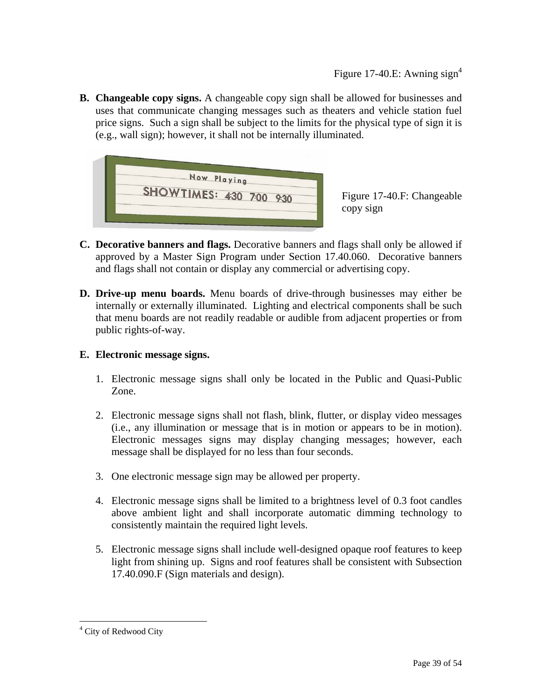**B. Changeable copy signs.** A changeable copy sign shall be allowed for businesses and uses that communicate changing messages such as theaters and vehicle station fuel price signs. Such a sign shall be subject to the limits for the physical type of sign it is (e.g., wall sign); however, it shall not be internally illuminated.



Figure 17-40.F: Changeable copy sign

- **C. Decorative banners and flags.** Decorative banners and flags shall only be allowed if approved by a Master Sign Program under Section 17.40.060. Decorative banners and flags shall not contain or display any commercial or advertising copy.
- **D. Drive-up menu boards.** Menu boards of drive-through businesses may either be internally or externally illuminated. Lighting and electrical components shall be such that menu boards are not readily readable or audible from adjacent properties or from public rights-of-way.

### **E. Electronic message signs.**

- 1. Electronic message signs shall only be located in the Public and Quasi-Public Zone.
- 2. Electronic message signs shall not flash, blink, flutter, or display video messages (i.e., any illumination or message that is in motion or appears to be in motion). Electronic messages signs may display changing messages; however, each message shall be displayed for no less than four seconds.
- 3. One electronic message sign may be allowed per property.
- 4. Electronic message signs shall be limited to a brightness level of 0.3 foot candles above ambient light and shall incorporate automatic dimming technology to consistently maintain the required light levels.
- 5. Electronic message signs shall include well-designed opaque roof features to keep light from shining up. Signs and roof features shall be consistent with Subsection 17.40.090.F (Sign materials and design).

<u>.</u>

<span id="page-38-0"></span><sup>&</sup>lt;sup>4</sup> City of Redwood City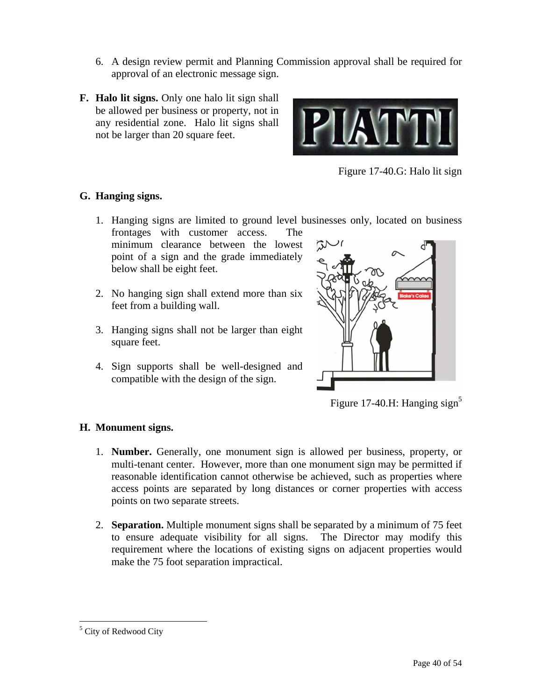- 6. A design review permit and Planning Commission approval shall be required for approval of an electronic message sign.
- **F. Halo lit signs.** Only one halo lit sign shall be allowed per business or property, not in any residential zone.Halo lit signs shall not be larger than 20 square feet.



Figure 17-40.G: Halo lit sign

### **G. Hanging signs.**

- 1. Hanging signs are limited to ground level businesses only, located on business frontages with customer access. The
	- minimum clearance between the lowest point of a sign and the grade immediately below shall be eight feet.
- 2. No hanging sign shall extend more than six feet from a building wall.
- 3. Hanging signs shall not be larger than eight square feet.
- 4. Sign supports shall be well-designed and compatible with the design of the sign.



Figure 17-40.H: Hanging sign<sup>5</sup>

### **H. Monument signs.**

- 1. **Number.** Generally, one monument sign is allowed per business, property, or multi-tenant center. However, more than one monument sign may be permitted if reasonable identification cannot otherwise be achieved, such as properties where access points are separated by long distances or corner properties with access points on two separate streets.
- 2. **Separation.** Multiple monument signs shall be separated by a minimum of 75 feet to ensure adequate visibility for all signs. The Director may modify this requirement where the locations of existing signs on adjacent properties would make the 75 foot separation impractical.

<u>.</u>

<span id="page-39-0"></span><sup>&</sup>lt;sup>5</sup> City of Redwood City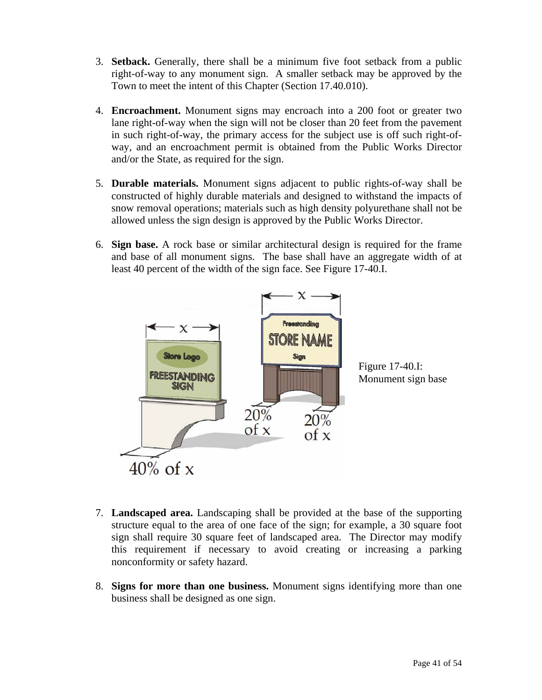- 3. **Setback.** Generally, there shall be a minimum five foot setback from a public right-of-way to any monument sign. A smaller setback may be approved by the Town to meet the intent of this Chapter (Section 17.40.010).
- 4. **Encroachment.** Monument signs may encroach into a 200 foot or greater two lane right-of-way when the sign will not be closer than 20 feet from the pavement in such right-of-way, the primary access for the subject use is off such right-ofway, and an encroachment permit is obtained from the Public Works Director and/or the State, as required for the sign.
- 5. **Durable materials.** Monument signs adjacent to public rights-of-way shall be constructed of highly durable materials and designed to withstand the impacts of snow removal operations; materials such as high density polyurethane shall not be allowed unless the sign design is approved by the Public Works Director.
- 6. **Sign base.** A rock base or similar architectural design is required for the frame and base of all monument signs. The base shall have an aggregate width of at least 40 percent of the width of the sign face. See Figure 17-40.I.



- 7. **Landscaped area.** Landscaping shall be provided at the base of the supporting structure equal to the area of one face of the sign; for example, a 30 square foot sign shall require 30 square feet of landscaped area. The Director may modify this requirement if necessary to avoid creating or increasing a parking nonconformity or safety hazard.
- 8. **Signs for more than one business.** Monument signs identifying more than one business shall be designed as one sign.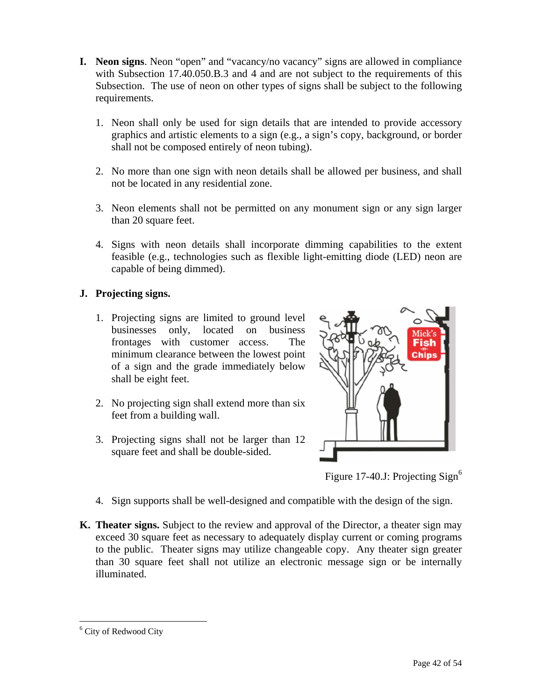- **I. Neon signs**. Neon "open" and "vacancy/no vacancy" signs are allowed in compliance with Subsection 17.40.050.B.3 and 4 and are not subject to the requirements of this Subsection. The use of neon on other types of signs shall be subject to the following requirements.
	- 1. Neon shall only be used for sign details that are intended to provide accessory graphics and artistic elements to a sign (e.g., a sign's copy, background, or border shall not be composed entirely of neon tubing).
	- 2. No more than one sign with neon details shall be allowed per business, and shall not be located in any residential zone.
	- 3. Neon elements shall not be permitted on any monument sign or any sign larger than 20 square feet.
	- 4. Signs with neon details shall incorporate dimming capabilities to the extent feasible (e.g., technologies such as flexible light-emitting diode (LED) neon are capable of being dimmed).

### **J. Projecting signs.**

- 1. Projecting signs are limited to ground level businesses only, located on business frontages with customer access. The minimum clearance between the lowest point of a sign and the grade immediately below shall be eight feet.
- 2. No projecting sign shall extend more than six feet from a building wall.
- 3. Projecting signs shall not be larger than 12 square feet and shall be double-sided.



Figure 17-40.J: Projecting Sign<sup>6</sup>

- 4. Sign supports shall be well-designed and compatible with the design of the sign.
- **K. Theater signs.** Subject to the review and approval of the Director, a theater sign may exceed 30 square feet as necessary to adequately display current or coming programs to the public. Theater signs may utilize changeable copy. Any theater sign greater than 30 square feet shall not utilize an electronic message sign or be internally illuminated.

<u>.</u>

<span id="page-41-0"></span><sup>&</sup>lt;sup>6</sup> City of Redwood City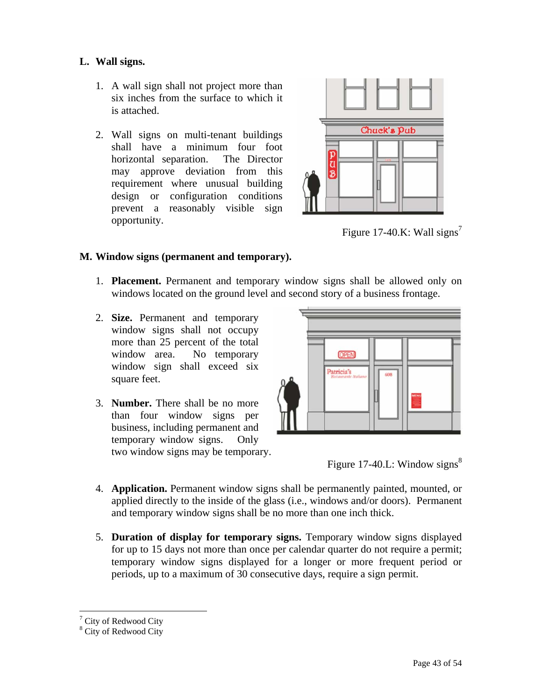### **L. Wall signs.**

- 1. A wall sign shall not project more than six inches from the surface to which it is attached.
- 2. Wall signs on multi-tenant buildings shall have a minimum four foot horizontal separation. The Director may approve deviation from this requirement where unusual building design or configuration conditions prevent a reasonably visible sign opportunity.



Figure 17-40.K: Wall signs<sup>7</sup>

### **M. Window signs (permanent and temporary).**

- 1. **Placement.** Permanent and temporary window signs shall be allowed only on windows located on the ground level and second story of a business frontage.
- 2. **Size.** Permanent and temporary window signs shall not occupy more than 25 percent of the total window area. No temporary window sign shall exceed six square feet.
- 3. **Number.** There shall be no more than four window signs per business, including permanent and temporary window signs. Only two window signs may be temporary.



Figure 17-40.L: Window signs<sup>[8](#page-42-1)</sup>

- 4. **Application.** Permanent window signs shall be permanently painted, mounted, or applied directly to the inside of the glass (i.e., windows and/or doors). Permanent and temporary window signs shall be no more than one inch thick.
- 5. **Duration of display for temporary signs.** Temporary window signs displayed for up to 15 days not more than once per calendar quarter do not require a permit; temporary window signs displayed for a longer or more frequent period or periods, up to a maximum of 30 consecutive days, require a sign permit.

1

<span id="page-42-0"></span><sup>&</sup>lt;sup>7</sup> City of Redwood City  $\frac{8}{3}$  City of Redwood City

<span id="page-42-1"></span><sup>&</sup>lt;sup>8</sup> City of Redwood City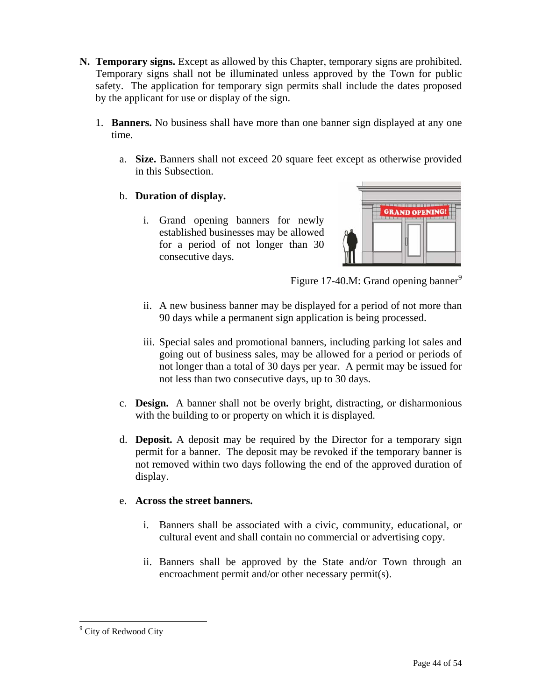- **N. Temporary signs.** Except as allowed by this Chapter, temporary signs are prohibited. Temporary signs shall not be illuminated unless approved by the Town for public safety. The application for temporary sign permits shall include the dates proposed by the applicant for use or display of the sign.
	- 1. **Banners.** No business shall have more than one banner sign displayed at any one time.
		- a. **Size.** Banners shall not exceed 20 square feet except as otherwise provided in this Subsection.

### b. **Duration of display.**

i. Grand opening banners for newly established businesses may be allowed for a period of not longer than 30 consecutive days.



Figure 17-40.M: Grand opening banner $^9$ 

- ii. A new business banner may be displayed for a period of not more than 90 days while a permanent sign application is being processed.
- iii. Special sales and promotional banners, including parking lot sales and going out of business sales, may be allowed for a period or periods of not longer than a total of 30 days per year. A permit may be issued for not less than two consecutive days, up to 30 days.
- c. **Design.** A banner shall not be overly bright, distracting, or disharmonious with the building to or property on which it is displayed.
- d. **Deposit.** A deposit may be required by the Director for a temporary sign permit for a banner. The deposit may be revoked if the temporary banner is not removed within two days following the end of the approved duration of display.

### e. **Across the street banners.**

- i. Banners shall be associated with a civic, community, educational, or cultural event and shall contain no commercial or advertising copy.
- ii. Banners shall be approved by the State and/or Town through an encroachment permit and/or other necessary permit(s).

 $\overline{a}$ 

<span id="page-43-0"></span><sup>&</sup>lt;sup>9</sup> City of Redwood City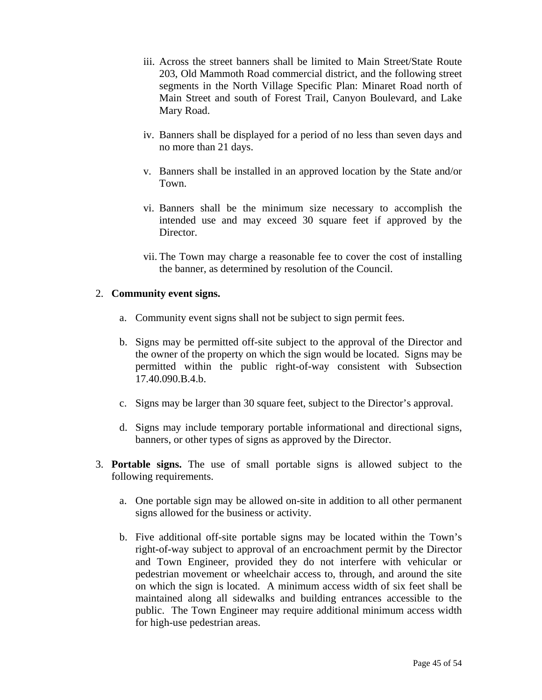- iii. Across the street banners shall be limited to Main Street/State Route 203, Old Mammoth Road commercial district, and the following street segments in the North Village Specific Plan: Minaret Road north of Main Street and south of Forest Trail, Canyon Boulevard, and Lake Mary Road.
- iv. Banners shall be displayed for a period of no less than seven days and no more than 21 days.
- v. Banners shall be installed in an approved location by the State and/or Town.
- vi. Banners shall be the minimum size necessary to accomplish the intended use and may exceed 30 square feet if approved by the Director.
- vii. The Town may charge a reasonable fee to cover the cost of installing the banner, as determined by resolution of the Council.

#### 2. **Community event signs.**

- a. Community event signs shall not be subject to sign permit fees.
- b. Signs may be permitted off-site subject to the approval of the Director and the owner of the property on which the sign would be located. Signs may be permitted within the public right-of-way consistent with Subsection 17.40.090.B.4.b.
- c. Signs may be larger than 30 square feet, subject to the Director's approval.
- d. Signs may include temporary portable informational and directional signs, banners, or other types of signs as approved by the Director.
- 3. **Portable signs.** The use of small portable signs is allowed subject to the following requirements.
	- a. One portable sign may be allowed on-site in addition to all other permanent signs allowed for the business or activity.
	- b. Five additional off-site portable signs may be located within the Town's right-of-way subject to approval of an encroachment permit by the Director and Town Engineer, provided they do not interfere with vehicular or pedestrian movement or wheelchair access to, through, and around the site on which the sign is located. A minimum access width of six feet shall be maintained along all sidewalks and building entrances accessible to the public. The Town Engineer may require additional minimum access width for high-use pedestrian areas.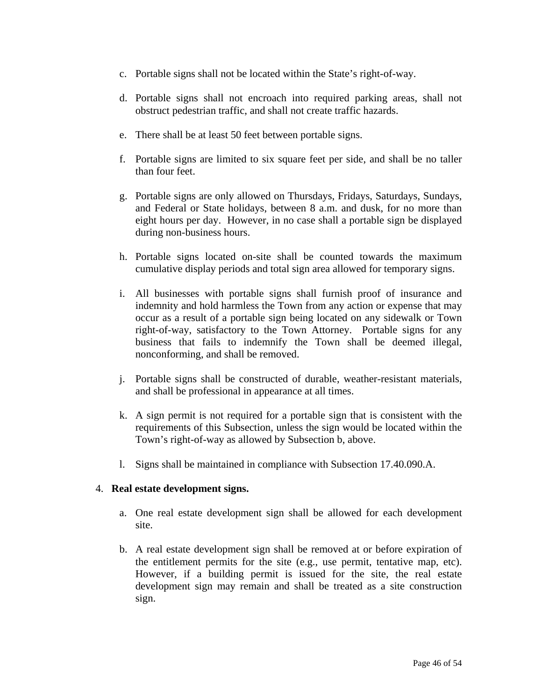- c. Portable signs shall not be located within the State's right-of-way.
- d. Portable signs shall not encroach into required parking areas, shall not obstruct pedestrian traffic, and shall not create traffic hazards.
- e. There shall be at least 50 feet between portable signs.
- f. Portable signs are limited to six square feet per side, and shall be no taller than four feet.
- g. Portable signs are only allowed on Thursdays, Fridays, Saturdays, Sundays, and Federal or State holidays, between 8 a.m. and dusk, for no more than eight hours per day. However, in no case shall a portable sign be displayed during non-business hours.
- h. Portable signs located on-site shall be counted towards the maximum cumulative display periods and total sign area allowed for temporary signs.
- i. All businesses with portable signs shall furnish proof of insurance and indemnity and hold harmless the Town from any action or expense that may occur as a result of a portable sign being located on any sidewalk or Town right-of-way, satisfactory to the Town Attorney. Portable signs for any business that fails to indemnify the Town shall be deemed illegal, nonconforming, and shall be removed.
- j. Portable signs shall be constructed of durable, weather-resistant materials, and shall be professional in appearance at all times.
- k. A sign permit is not required for a portable sign that is consistent with the requirements of this Subsection, unless the sign would be located within the Town's right-of-way as allowed by Subsection b, above.
- l. Signs shall be maintained in compliance with Subsection 17.40.090.A.

#### 4. **Real estate development signs.**

- a. One real estate development sign shall be allowed for each development site.
- b. A real estate development sign shall be removed at or before expiration of the entitlement permits for the site (e.g., use permit, tentative map, etc). However, if a building permit is issued for the site, the real estate development sign may remain and shall be treated as a site construction sign.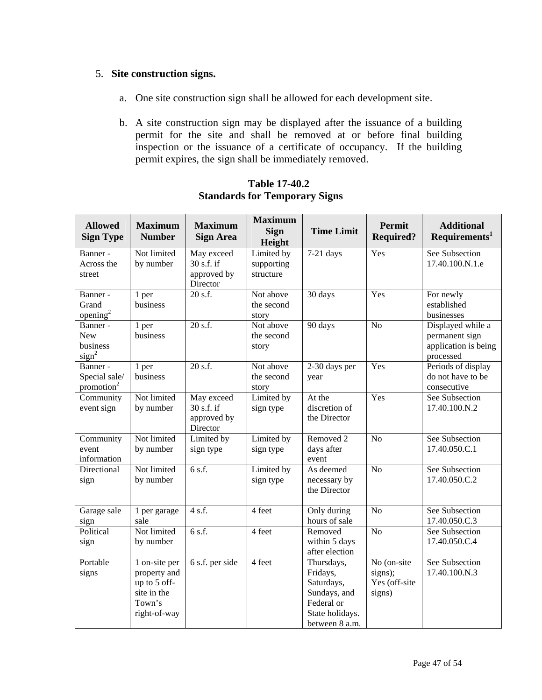### 5. **Site construction signs.**

- a. One site construction sign shall be allowed for each development site.
- b. A site construction sign may be displayed after the issuance of a building permit for the site and shall be removed at or before final building inspection or the issuance of a certificate of occupancy. If the building permit expires, the sign shall be immediately removed.

| <b>Allowed</b><br><b>Sign Type</b>                      | <b>Maximum</b><br><b>Number</b>                                                        | <b>Maximum</b><br><b>Sign Area</b>                    | <b>Maximum</b><br><b>Sign</b><br>Height | <b>Time Limit</b>                                                                                       | Permit<br><b>Required?</b>                        | <b>Additional</b><br>Requirements <sup>1</sup>                           |
|---------------------------------------------------------|----------------------------------------------------------------------------------------|-------------------------------------------------------|-----------------------------------------|---------------------------------------------------------------------------------------------------------|---------------------------------------------------|--------------------------------------------------------------------------|
| Banner-<br>Across the<br>street                         | Not limited<br>by number                                                               | May exceed<br>30 s.f. if<br>approved by<br>Director   | Limited by<br>supporting<br>structure   | $7-21$ days                                                                                             | Yes                                               | See Subsection<br>17.40.100.N.1.e                                        |
| Banner -<br>Grand<br>opening <sup>2</sup>               | 1 per<br>business                                                                      | 20 s.f.                                               | Not above<br>the second<br>story        | 30 days                                                                                                 | Yes                                               | For newly<br>established<br>businesses                                   |
| Banner -<br><b>New</b><br>business<br>sign <sup>2</sup> | 1 per<br>business                                                                      | 20 s.f.                                               | Not above<br>the second<br>story        | 90 days                                                                                                 | N <sub>o</sub>                                    | Displayed while a<br>permanent sign<br>application is being<br>processed |
| Banner -<br>Special sale/<br>promotion <sup>2</sup>     | 1 per<br>business                                                                      | 20 s.f.                                               | Not above<br>the second<br>story        | 2-30 days per<br>year                                                                                   | Yes                                               | Periods of display<br>do not have to be<br>consecutive                   |
| Community<br>event sign                                 | Not limited<br>by number                                                               | May exceed<br>$30$ s.f. if<br>approved by<br>Director | Limited by<br>sign type                 | At the<br>discretion of<br>the Director                                                                 | Yes                                               | See Subsection<br>17.40.100.N.2                                          |
| Community<br>event<br>information                       | Not limited<br>by number                                                               | Limited by<br>sign type                               | Limited by<br>sign type                 | Removed 2<br>days after<br>event                                                                        | N <sub>o</sub>                                    | See Subsection<br>17.40.050.C.1                                          |
| Directional<br>sign                                     | Not limited<br>by number                                                               | 6 s.f.                                                | Limited by<br>sign type                 | As deemed<br>necessary by<br>the Director                                                               | N <sub>o</sub>                                    | See Subsection<br>17.40.050.C.2                                          |
| Garage sale<br>sign                                     | 1 per garage<br>sale                                                                   | 4 s.f.                                                | 4 feet                                  | Only during<br>hours of sale                                                                            | N <sub>o</sub>                                    | See Subsection<br>17.40.050.C.3                                          |
| Political<br>sign                                       | Not limited<br>by number                                                               | 6 s.f.                                                | 4 feet                                  | Removed<br>within 5 days<br>after election                                                              | $\overline{No}$                                   | See Subsection<br>17.40.050.C.4                                          |
| Portable<br>signs                                       | 1 on-site per<br>property and<br>up to 5 off-<br>site in the<br>Town's<br>right-of-way | 6 s.f. per side                                       | 4 feet                                  | Thursdays,<br>Fridays,<br>Saturdays,<br>Sundays, and<br>Federal or<br>State holidays.<br>between 8 a.m. | No (on-site<br>signs);<br>Yes (off-site<br>signs) | See Subsection<br>17.40.100.N.3                                          |

### **Table 17-40.2 Standards for Temporary Signs**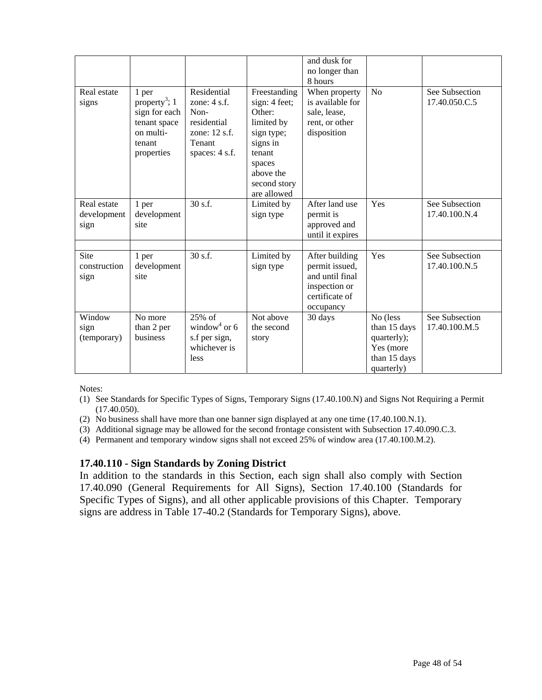|                                    |                                                                                                          |                                                                                                   |                                                                                                                                                 | and dusk for<br>no longer than<br>8 hours                                                           |                                                                                    |                                 |
|------------------------------------|----------------------------------------------------------------------------------------------------------|---------------------------------------------------------------------------------------------------|-------------------------------------------------------------------------------------------------------------------------------------------------|-----------------------------------------------------------------------------------------------------|------------------------------------------------------------------------------------|---------------------------------|
| Real estate<br>signs               | 1 per<br>property <sup>3</sup> ; 1<br>sign for each<br>tenant space<br>on multi-<br>tenant<br>properties | Residential<br>zone: $4$ s.f.<br>Non-<br>residential<br>zone: 12 s.f.<br>Tenant<br>spaces: 4 s.f. | Freestanding<br>sign: 4 feet;<br>Other:<br>limited by<br>sign type;<br>signs in<br>tenant<br>spaces<br>above the<br>second story<br>are allowed | When property<br>is available for<br>sale, lease,<br>rent, or other<br>disposition                  | N <sub>o</sub>                                                                     | See Subsection<br>17.40.050.C.5 |
| Real estate<br>development<br>sign | 1 per<br>development<br>site                                                                             | 30 s.f.                                                                                           | Limited by<br>sign type                                                                                                                         | After land use<br>permit is<br>approved and<br>until it expires                                     | Yes                                                                                | See Subsection<br>17.40.100.N.4 |
| Site<br>construction<br>sign       | 1 per<br>development<br>site                                                                             | 30 s.f.                                                                                           | Limited by<br>sign type                                                                                                                         | After building<br>permit issued,<br>and until final<br>inspection or<br>certificate of<br>occupancy | Yes                                                                                | See Subsection<br>17.40.100.N.5 |
| Window<br>sign<br>(temporary)      | No more<br>than 2 per<br>business                                                                        | 25% of<br>window <sup>4</sup> or 6<br>s.f per sign,<br>whichever is<br>less                       | Not above<br>the second<br>story                                                                                                                | 30 days                                                                                             | No (less<br>than 15 days<br>quarterly);<br>Yes (more<br>than 15 days<br>quarterly) | See Subsection<br>17.40.100.M.5 |

Notes:

- (1) See Standards for Specific Types of Signs, Temporary Signs (17.40.100.N) and Signs Not Requiring a Permit (17.40.050).
- (2) No business shall have more than one banner sign displayed at any one time (17.40.100.N.1).
- (3) Additional signage may be allowed for the second frontage consistent with Subsection 17.40.090.C.3.
- (4) Permanent and temporary window signs shall not exceed 25% of window area (17.40.100.M.2).

#### **17.40.110 - Sign Standards by Zoning District**

In addition to the standards in this Section, each sign shall also comply with Section 17.40.090 (General Requirements for All Signs), Section 17.40.100 (Standards for Specific Types of Signs), and all other applicable provisions of this Chapter. Temporary signs are address in Table 17-40.2 (Standards for Temporary Signs), above.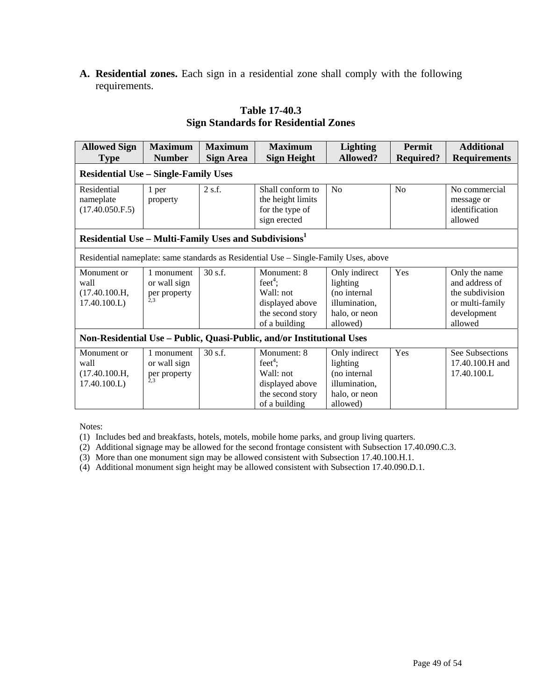**A. Residential zones.** Each sign in a residential zone shall comply with the following requirements.

| <b>Allowed Sign</b>                                                   | <b>Maximum</b>                                    | <b>Maximum</b>   | <b>Maximum</b>                                                                                          | <b>Lighting</b>                                                                         | <b>Permit</b>    | <b>Additional</b>                                                                               |  |  |
|-----------------------------------------------------------------------|---------------------------------------------------|------------------|---------------------------------------------------------------------------------------------------------|-----------------------------------------------------------------------------------------|------------------|-------------------------------------------------------------------------------------------------|--|--|
| <b>Type</b>                                                           | <b>Number</b>                                     | <b>Sign Area</b> | <b>Sign Height</b>                                                                                      | <b>Allowed?</b>                                                                         | <b>Required?</b> | <b>Requirements</b>                                                                             |  |  |
| <b>Residential Use - Single-Family Uses</b>                           |                                                   |                  |                                                                                                         |                                                                                         |                  |                                                                                                 |  |  |
| Residential<br>nameplate<br>(17.40.050.F.5)                           | 1 per<br>property                                 | 2 s.f.           | Shall conform to<br>the height limits<br>for the type of<br>sign erected                                | N <sub>o</sub>                                                                          | N <sub>o</sub>   | No commercial<br>message or<br>identification<br>allowed                                        |  |  |
| Residential Use – Multi-Family Uses and Subdivisions <sup>1</sup>     |                                                   |                  |                                                                                                         |                                                                                         |                  |                                                                                                 |  |  |
|                                                                       |                                                   |                  | Residential nameplate: same standards as Residential Use - Single-Family Uses, above                    |                                                                                         |                  |                                                                                                 |  |  |
| Monument or<br>wall<br>(17.40.100.H,<br>17.40.100.L                   | 1 monument<br>or wall sign<br>per property<br>2.3 | 30 s.f.          | Monument: 8<br>feet <sup>4</sup> ;<br>Wall: not<br>displayed above<br>the second story<br>of a building | Only indirect<br>lighting<br>(no internal<br>illumination,<br>halo, or neon<br>allowed) | Yes              | Only the name<br>and address of<br>the subdivision<br>or multi-family<br>development<br>allowed |  |  |
| Non-Residential Use - Public, Quasi-Public, and/or Institutional Uses |                                                   |                  |                                                                                                         |                                                                                         |                  |                                                                                                 |  |  |
| Monument or<br>wall<br>(17.40.100.H,<br>17.40.100.L                   | 1 monument<br>or wall sign<br>per property        | 30 s.f.          | Monument: 8<br>feet <sup>4</sup> ;<br>Wall: not<br>displayed above<br>the second story<br>of a building | Only indirect<br>lighting<br>(no internal<br>illumination,<br>halo, or neon<br>allowed) | Yes              | See Subsections<br>17.40.100.H and<br>17.40.100.L                                               |  |  |

### **Table 17-40.3 Sign Standards for Residential Zones**

Notes:

- (1) Includes bed and breakfasts, hotels, motels, mobile home parks, and group living quarters.
- (2) Additional signage may be allowed for the second frontage consistent with Subsection 17.40.090.C.3.
- (3) More than one monument sign may be allowed consistent with Subsection 17.40.100.H.1.
- (4) Additional monument sign height may be allowed consistent with Subsection 17.40.090.D.1.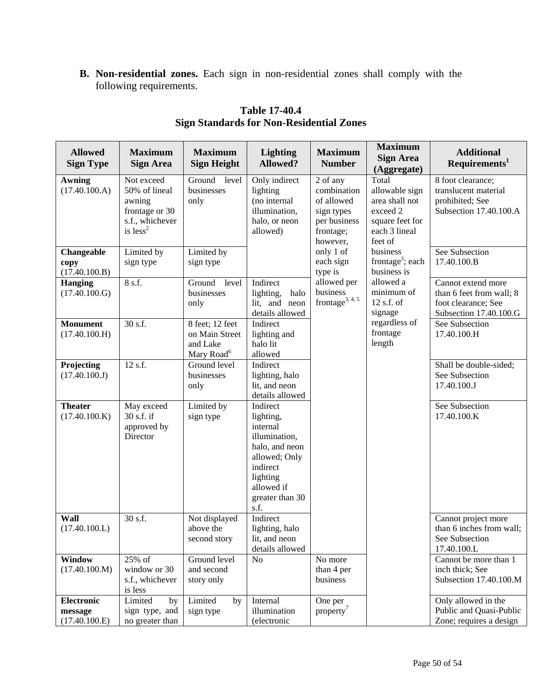**B. Non-residential zones.** Each sign in non-residential zones shall comply with the following requirements.

| <b>Allowed</b><br><b>Sign Type</b>            | <b>Maximum</b><br><b>Sign Area</b>                                                       | <b>Maximum</b><br><b>Sign Height</b>                                    | <b>Lighting</b><br><b>Allowed?</b>                                                                                                                     | <b>Maximum</b><br><b>Number</b>                                                              | <b>Maximum</b><br><b>Sign Area</b><br>(Aggregate)                                                    | <b>Additional</b><br>Requirements <sup>1</sup>                                                  |
|-----------------------------------------------|------------------------------------------------------------------------------------------|-------------------------------------------------------------------------|--------------------------------------------------------------------------------------------------------------------------------------------------------|----------------------------------------------------------------------------------------------|------------------------------------------------------------------------------------------------------|-------------------------------------------------------------------------------------------------|
| <b>Awning</b><br>(17.40.100.A)                | Not exceed<br>50% of lineal<br>awning<br>frontage or 30<br>s.f., whichever<br>is $less2$ | level<br>Ground<br>businesses<br>only                                   | Only indirect<br>lighting<br>(no internal<br>illumination,<br>halo, or neon<br>allowed)                                                                | 2 of any<br>combination<br>of allowed<br>sign types<br>per business<br>frontage;<br>however, | Total<br>allowable sign<br>area shall not<br>exceed 2<br>square feet for<br>each 3 lineal<br>feet of | 8 foot clearance;<br>translucent material<br>prohibited; See<br>Subsection 17.40.100.A          |
| Changeable<br>copy<br>(17.40.100.B)           | Limited by<br>sign type                                                                  | Limited by<br>sign type                                                 |                                                                                                                                                        | only 1 of<br>each sign<br>type is                                                            | business<br>frontage <sup>3</sup> ; each<br>business is                                              | See Subsection<br>17.40.100.B                                                                   |
| <b>Hanging</b><br>(17.40.100.G)               | 8 s.f.                                                                                   | Ground<br>level<br>businesses<br>only                                   | Indirect<br>lighting,<br>halo<br>lit, and neon<br>details allowed                                                                                      | allowed per<br>business<br>frontage <sup>3, 4, 5</sup>                                       | allowed a<br>minimum of<br>$12$ s.f. of<br>signage                                                   | Cannot extend more<br>than 6 feet from wall; 8<br>foot clearance; See<br>Subsection 17.40.100.G |
| <b>Monument</b><br>(17.40.100.H)              | 30 s.f.                                                                                  | 8 feet; 12 feet<br>on Main Street<br>and Lake<br>Mary Road <sup>6</sup> | Indirect<br>lighting and<br>halo lit<br>allowed                                                                                                        |                                                                                              | regardless of<br>frontage<br>length                                                                  | See Subsection<br>17.40.100.H                                                                   |
| Projecting<br>(17.40.100.J)                   | 12 s.f.                                                                                  | Ground level<br>businesses<br>only                                      | Indirect<br>lighting, halo<br>lit, and neon<br>details allowed                                                                                         |                                                                                              |                                                                                                      | Shall be double-sided;<br>See Subsection<br>17.40.100.J                                         |
| <b>Theater</b><br>(17.40.100.K)               | May exceed<br>30 s.f. if<br>approved by<br>Director                                      | Limited by<br>sign type                                                 | Indirect<br>lighting,<br>internal<br>illumination,<br>halo, and neon<br>allowed; Only<br>indirect<br>lighting<br>allowed if<br>greater than 30<br>s.f. |                                                                                              |                                                                                                      | See Subsection<br>17.40.100.K                                                                   |
| Wall<br>(17.40.100.L)                         | 30 s.f.                                                                                  | Not displayed<br>above the<br>second story                              | Indirect<br>lighting, halo<br>lit, and neon<br>details allowed                                                                                         |                                                                                              |                                                                                                      | Cannot project more<br>than 6 inches from wall;<br>See Subsection<br>17.40.100.L                |
| Window<br>(17.40.100.M)                       | 25% of<br>window or 30<br>s.f., whichever<br>is less                                     | Ground level<br>and second<br>story only                                | No                                                                                                                                                     | No more<br>than 4 per<br>business                                                            |                                                                                                      | Cannot be more than 1<br>inch thick; See<br>Subsection 17.40.100.M                              |
| <b>Electronic</b><br>message<br>(17.40.100.E) | Limited<br>by<br>sign type, and<br>no greater than                                       | Limited<br>by<br>sign type                                              | Internal<br>illumination<br>(electronic                                                                                                                | One per<br>property <sup>7</sup>                                                             |                                                                                                      | Only allowed in the<br>Public and Quasi-Public<br>Zone; requires a design                       |

# **Table 17-40.4 Sign Standards for Non-Residential Zones**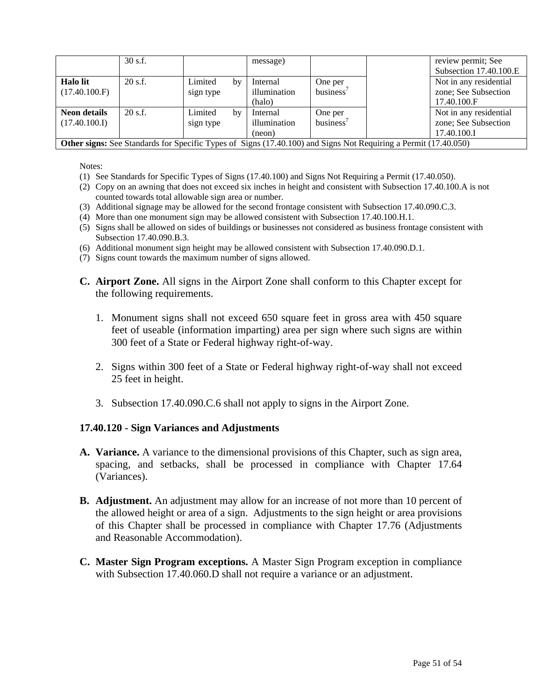|                     | $30$ s.f.                                                                                                              |           |    | message)     |           |  | review permit; See<br>Subsection 17.40.100.E |
|---------------------|------------------------------------------------------------------------------------------------------------------------|-----------|----|--------------|-----------|--|----------------------------------------------|
| <b>Halo</b> lit     | $20$ s.f.                                                                                                              | Limited   | by | Internal     | One per   |  | Not in any residential                       |
| (17.40.100.F)       |                                                                                                                        | sign type |    | illumination | business' |  | zone; See Subsection                         |
|                     |                                                                                                                        |           |    | (halo)       |           |  | 17.40.100.F                                  |
| <b>Neon details</b> | $20$ s.f.                                                                                                              | Limited   | by | Internal     | One per   |  | Not in any residential                       |
| (17.40.100.I)       |                                                                                                                        | sign type |    | illumination | business' |  | zone; See Subsection                         |
|                     |                                                                                                                        |           |    | (neon)       |           |  | 17.40.100.I                                  |
|                     | <b>Other signs:</b> See Standards for Specific Types of Signs (17.40.100) and Signs Not Requiring a Permit (17.40.050) |           |    |              |           |  |                                              |

Notes:

- (1) See Standards for Specific Types of Signs (17.40.100) and Signs Not Requiring a Permit (17.40.050).
- (2) Copy on an awning that does not exceed six inches in height and consistent with Subsection 17.40.100.A is not counted towards total allowable sign area or number.
- (3) Additional signage may be allowed for the second frontage consistent with Subsection 17.40.090.C.3.
- (4) More than one monument sign may be allowed consistent with Subsection 17.40.100.H.1.
- (5) Signs shall be allowed on sides of buildings or businesses not considered as business frontage consistent with Subsection 17.40.090.B.3.
- (6) Additional monument sign height may be allowed consistent with Subsection 17.40.090.D.1.
- (7) Signs count towards the maximum number of signs allowed.
- **C. Airport Zone.** All signs in the Airport Zone shall conform to this Chapter except for the following requirements.
	- 1. Monument signs shall not exceed 650 square feet in gross area with 450 square feet of useable (information imparting) area per sign where such signs are within 300 feet of a State or Federal highway right-of-way.
	- 2. Signs within 300 feet of a State or Federal highway right-of-way shall not exceed 25 feet in height.
	- 3. Subsection 17.40.090.C.6 shall not apply to signs in the Airport Zone.

#### **17.40.120 - Sign Variances and Adjustments**

- **A. Variance.** A variance to the dimensional provisions of this Chapter, such as sign area, spacing, and setbacks, shall be processed in compliance with Chapter 17.64 (Variances).
- **B. Adjustment.** An adjustment may allow for an increase of not more than 10 percent of the allowed height or area of a sign. Adjustments to the sign height or area provisions of this Chapter shall be processed in compliance with Chapter 17.76 (Adjustments and Reasonable Accommodation).
- **C. Master Sign Program exceptions.** A Master Sign Program exception in compliance with Subsection 17.40.060.D shall not require a variance or an adjustment.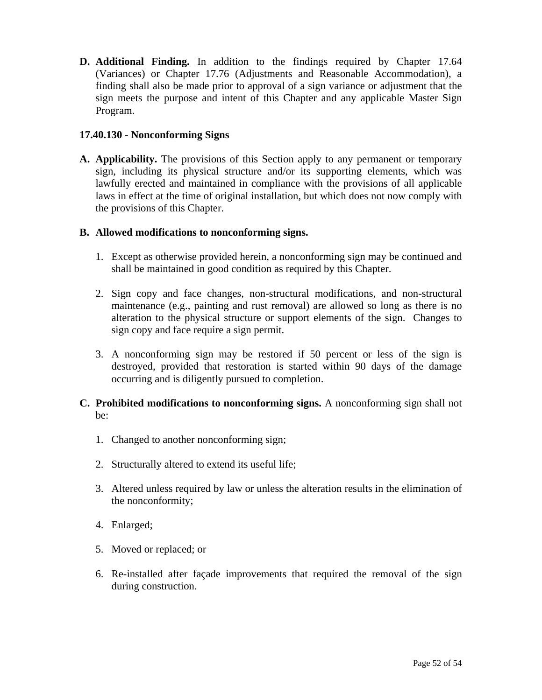**D. Additional Finding.** In addition to the findings required by Chapter 17.64 (Variances) or Chapter 17.76 (Adjustments and Reasonable Accommodation), a finding shall also be made prior to approval of a sign variance or adjustment that the sign meets the purpose and intent of this Chapter and any applicable Master Sign Program.

#### **17.40.130 - Nonconforming Signs**

**A. Applicability.** The provisions of this Section apply to any permanent or temporary sign, including its physical structure and/or its supporting elements, which was lawfully erected and maintained in compliance with the provisions of all applicable laws in effect at the time of original installation, but which does not now comply with the provisions of this Chapter.

#### **B. Allowed modifications to nonconforming signs.**

- 1. Except as otherwise provided herein, a nonconforming sign may be continued and shall be maintained in good condition as required by this Chapter.
- 2. Sign copy and face changes, non-structural modifications, and non-structural maintenance (e.g., painting and rust removal) are allowed so long as there is no alteration to the physical structure or support elements of the sign. Changes to sign copy and face require a sign permit.
- 3. A nonconforming sign may be restored if 50 percent or less of the sign is destroyed, provided that restoration is started within 90 days of the damage occurring and is diligently pursued to completion.
- **C. Prohibited modifications to nonconforming signs.** A nonconforming sign shall not be:
	- 1. Changed to another nonconforming sign;
	- 2. Structurally altered to extend its useful life;
	- 3. Altered unless required by law or unless the alteration results in the elimination of the nonconformity;
	- 4. Enlarged;
	- 5. Moved or replaced; or
	- 6. Re-installed after façade improvements that required the removal of the sign during construction.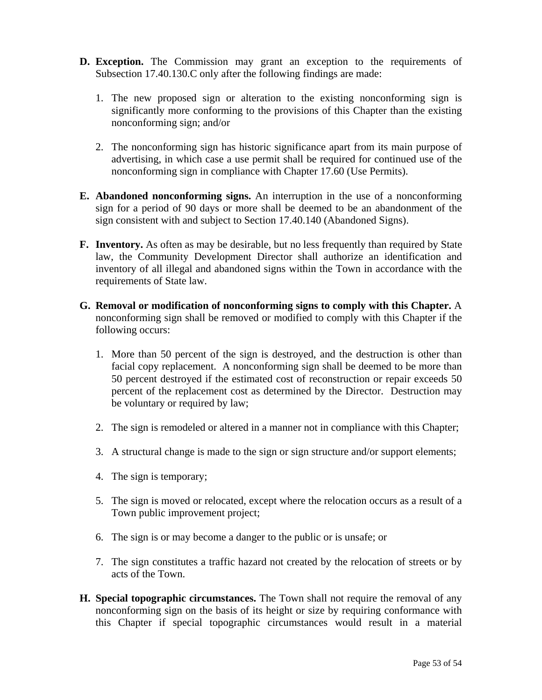- **D. Exception.** The Commission may grant an exception to the requirements of Subsection 17.40.130.C only after the following findings are made:
	- 1. The new proposed sign or alteration to the existing nonconforming sign is significantly more conforming to the provisions of this Chapter than the existing nonconforming sign; and/or
	- 2. The nonconforming sign has historic significance apart from its main purpose of advertising, in which case a use permit shall be required for continued use of the nonconforming sign in compliance with Chapter 17.60 (Use Permits).
- **E. Abandoned nonconforming signs.** An interruption in the use of a nonconforming sign for a period of 90 days or more shall be deemed to be an abandonment of the sign consistent with and subject to Section 17.40.140 (Abandoned Signs).
- **F. Inventory.** As often as may be desirable, but no less frequently than required by State law, the Community Development Director shall authorize an identification and inventory of all illegal and abandoned signs within the Town in accordance with the requirements of State law.
- **G. Removal or modification of nonconforming signs to comply with this Chapter.** A nonconforming sign shall be removed or modified to comply with this Chapter if the following occurs:
	- 1. More than 50 percent of the sign is destroyed, and the destruction is other than facial copy replacement. A nonconforming sign shall be deemed to be more than 50 percent destroyed if the estimated cost of reconstruction or repair exceeds 50 percent of the replacement cost as determined by the Director. Destruction may be voluntary or required by law;
	- 2. The sign is remodeled or altered in a manner not in compliance with this Chapter;
	- 3. A structural change is made to the sign or sign structure and/or support elements;
	- 4. The sign is temporary;
	- 5. The sign is moved or relocated, except where the relocation occurs as a result of a Town public improvement project;
	- 6. The sign is or may become a danger to the public or is unsafe; or
	- 7. The sign constitutes a traffic hazard not created by the relocation of streets or by acts of the Town.
- **H. Special topographic circumstances.** The Town shall not require the removal of any nonconforming sign on the basis of its height or size by requiring conformance with this Chapter if special topographic circumstances would result in a material